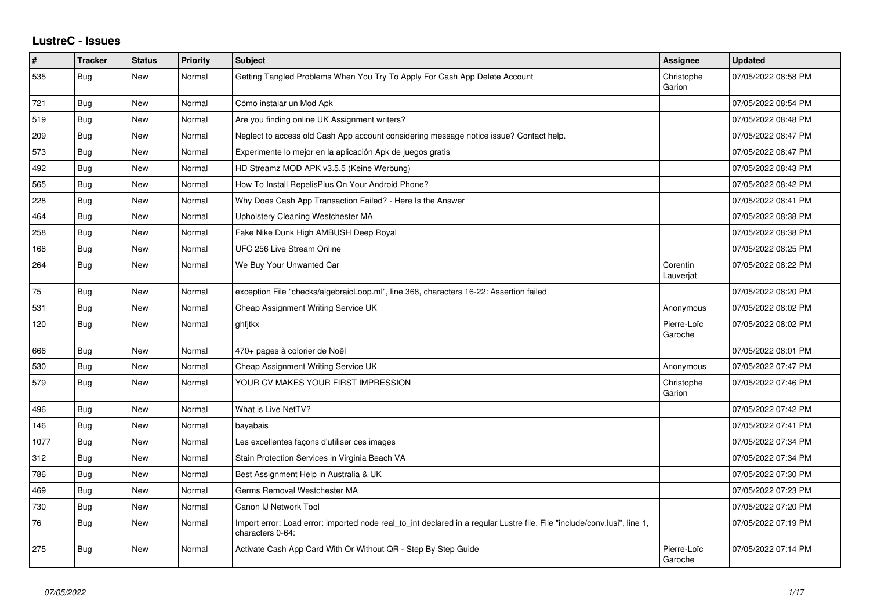## **LustreC - Issues**

| $\sharp$ | <b>Tracker</b> | <b>Status</b> | Priority | <b>Subject</b>                                                                                                                               | <b>Assignee</b>        | <b>Updated</b>      |
|----------|----------------|---------------|----------|----------------------------------------------------------------------------------------------------------------------------------------------|------------------------|---------------------|
| 535      | Bug            | New           | Normal   | Getting Tangled Problems When You Try To Apply For Cash App Delete Account                                                                   | Christophe<br>Garion   | 07/05/2022 08:58 PM |
| 721      | <b>Bug</b>     | <b>New</b>    | Normal   | Cómo instalar un Mod Apk                                                                                                                     |                        | 07/05/2022 08:54 PM |
| 519      | Bug            | <b>New</b>    | Normal   | Are you finding online UK Assignment writers?                                                                                                |                        | 07/05/2022 08:48 PM |
| 209      | Bug            | <b>New</b>    | Normal   | Neglect to access old Cash App account considering message notice issue? Contact help.                                                       |                        | 07/05/2022 08:47 PM |
| 573      | <b>Bug</b>     | <b>New</b>    | Normal   | Experimente lo mejor en la aplicación Apk de juegos gratis                                                                                   |                        | 07/05/2022 08:47 PM |
| 492      | Bug            | New           | Normal   | HD Streamz MOD APK v3.5.5 (Keine Werbung)                                                                                                    |                        | 07/05/2022 08:43 PM |
| 565      | Bug            | <b>New</b>    | Normal   | How To Install RepelisPlus On Your Android Phone?                                                                                            |                        | 07/05/2022 08:42 PM |
| 228      | <b>Bug</b>     | <b>New</b>    | Normal   | Why Does Cash App Transaction Failed? - Here Is the Answer                                                                                   |                        | 07/05/2022 08:41 PM |
| 464      | Bug            | New           | Normal   | Upholstery Cleaning Westchester MA                                                                                                           |                        | 07/05/2022 08:38 PM |
| 258      | Bug            | <b>New</b>    | Normal   | Fake Nike Dunk High AMBUSH Deep Royal                                                                                                        |                        | 07/05/2022 08:38 PM |
| 168      | <b>Bug</b>     | <b>New</b>    | Normal   | UFC 256 Live Stream Online                                                                                                                   |                        | 07/05/2022 08:25 PM |
| 264      | <b>Bug</b>     | New           | Normal   | We Buy Your Unwanted Car                                                                                                                     | Corentin<br>Lauverjat  | 07/05/2022 08:22 PM |
| 75       | <b>Bug</b>     | <b>New</b>    | Normal   | exception File "checks/algebraicLoop.ml", line 368, characters 16-22: Assertion failed                                                       |                        | 07/05/2022 08:20 PM |
| 531      | Bug            | <b>New</b>    | Normal   | Cheap Assignment Writing Service UK                                                                                                          | Anonymous              | 07/05/2022 08:02 PM |
| 120      | <b>Bug</b>     | <b>New</b>    | Normal   | ghfitkx                                                                                                                                      | Pierre-Loïc<br>Garoche | 07/05/2022 08:02 PM |
| 666      | Bug            | New           | Normal   | 470+ pages à colorier de Noël                                                                                                                |                        | 07/05/2022 08:01 PM |
| 530      | Bug            | <b>New</b>    | Normal   | Cheap Assignment Writing Service UK                                                                                                          | Anonymous              | 07/05/2022 07:47 PM |
| 579      | Bug            | <b>New</b>    | Normal   | YOUR CV MAKES YOUR FIRST IMPRESSION                                                                                                          | Christophe<br>Garion   | 07/05/2022 07:46 PM |
| 496      | Bug            | <b>New</b>    | Normal   | What is Live NetTV?                                                                                                                          |                        | 07/05/2022 07:42 PM |
| 146      | Bug            | <b>New</b>    | Normal   | bayabais                                                                                                                                     |                        | 07/05/2022 07:41 PM |
| 1077     | <b>Bug</b>     | <b>New</b>    | Normal   | Les excellentes façons d'utiliser ces images                                                                                                 |                        | 07/05/2022 07:34 PM |
| 312      | Bug            | <b>New</b>    | Normal   | Stain Protection Services in Virginia Beach VA                                                                                               |                        | 07/05/2022 07:34 PM |
| 786      | Bug            | <b>New</b>    | Normal   | Best Assignment Help in Australia & UK                                                                                                       |                        | 07/05/2022 07:30 PM |
| 469      | Bug            | <b>New</b>    | Normal   | Germs Removal Westchester MA                                                                                                                 |                        | 07/05/2022 07:23 PM |
| 730      | Bug            | <b>New</b>    | Normal   | Canon IJ Network Tool                                                                                                                        |                        | 07/05/2022 07:20 PM |
| 76       | <b>Bug</b>     | <b>New</b>    | Normal   | Import error: Load error: imported node real to int declared in a regular Lustre file. File "include/conv.lusi", line 1,<br>characters 0-64: |                        | 07/05/2022 07:19 PM |
| 275      | Bug            | <b>New</b>    | Normal   | Activate Cash App Card With Or Without QR - Step By Step Guide                                                                               | Pierre-Loïc<br>Garoche | 07/05/2022 07:14 PM |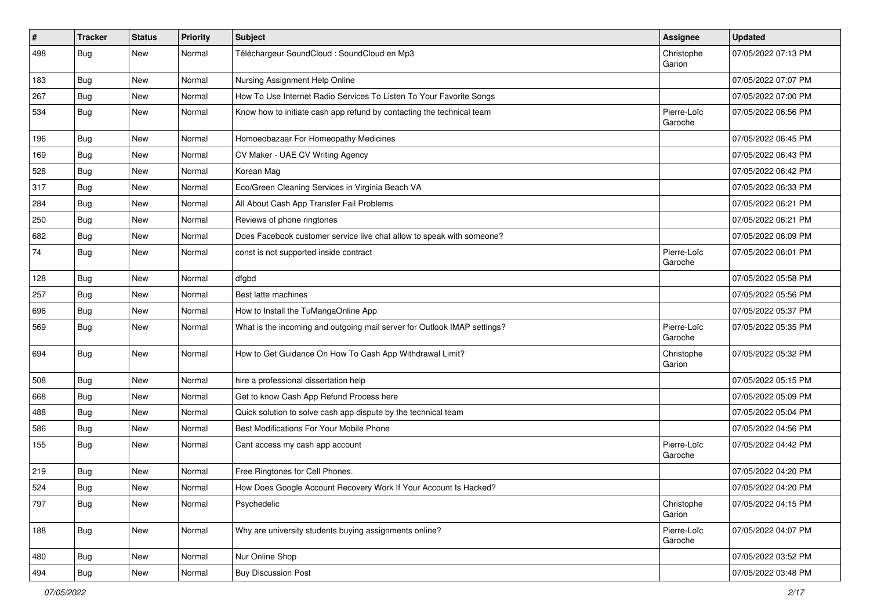| $\vert$ # | <b>Tracker</b> | <b>Status</b> | <b>Priority</b> | <b>Subject</b>                                                           | <b>Assignee</b>        | <b>Updated</b>      |
|-----------|----------------|---------------|-----------------|--------------------------------------------------------------------------|------------------------|---------------------|
| 498       | <b>Bug</b>     | New           | Normal          | Téléchargeur SoundCloud : SoundCloud en Mp3                              | Christophe<br>Garion   | 07/05/2022 07:13 PM |
| 183       | <b>Bug</b>     | New           | Normal          | Nursing Assignment Help Online                                           |                        | 07/05/2022 07:07 PM |
| 267       | <b>Bug</b>     | New           | Normal          | How To Use Internet Radio Services To Listen To Your Favorite Songs      |                        | 07/05/2022 07:00 PM |
| 534       | Bug            | <b>New</b>    | Normal          | Know how to initiate cash app refund by contacting the technical team    | Pierre-Loïc<br>Garoche | 07/05/2022 06:56 PM |
| 196       | <b>Bug</b>     | New           | Normal          | Homoeobazaar For Homeopathy Medicines                                    |                        | 07/05/2022 06:45 PM |
| 169       | <b>Bug</b>     | New           | Normal          | CV Maker - UAE CV Writing Agency                                         |                        | 07/05/2022 06:43 PM |
| 528       | <b>Bug</b>     | New           | Normal          | Korean Mag                                                               |                        | 07/05/2022 06:42 PM |
| 317       | Bug            | New           | Normal          | Eco/Green Cleaning Services in Virginia Beach VA                         |                        | 07/05/2022 06:33 PM |
| 284       | Bug            | New           | Normal          | All About Cash App Transfer Fail Problems                                |                        | 07/05/2022 06:21 PM |
| 250       | <b>Bug</b>     | New           | Normal          | Reviews of phone ringtones                                               |                        | 07/05/2022 06:21 PM |
| 682       | <b>Bug</b>     | New           | Normal          | Does Facebook customer service live chat allow to speak with someone?    |                        | 07/05/2022 06:09 PM |
| 74        | <b>Bug</b>     | New           | Normal          | const is not supported inside contract                                   | Pierre-Loïc<br>Garoche | 07/05/2022 06:01 PM |
| 128       | <b>Bug</b>     | New           | Normal          | dfgbd                                                                    |                        | 07/05/2022 05:58 PM |
| 257       | <b>Bug</b>     | New           | Normal          | Best latte machines                                                      |                        | 07/05/2022 05:56 PM |
| 696       | Bug            | <b>New</b>    | Normal          | How to Install the TuMangaOnline App                                     |                        | 07/05/2022 05:37 PM |
| 569       | Bug            | New           | Normal          | What is the incoming and outgoing mail server for Outlook IMAP settings? | Pierre-Loïc<br>Garoche | 07/05/2022 05:35 PM |
| 694       | Bug            | <b>New</b>    | Normal          | How to Get Guidance On How To Cash App Withdrawal Limit?                 | Christophe<br>Garion   | 07/05/2022 05:32 PM |
| 508       | Bug            | <b>New</b>    | Normal          | hire a professional dissertation help                                    |                        | 07/05/2022 05:15 PM |
| 668       | <b>Bug</b>     | New           | Normal          | Get to know Cash App Refund Process here                                 |                        | 07/05/2022 05:09 PM |
| 488       | <b>Bug</b>     | New           | Normal          | Quick solution to solve cash app dispute by the technical team           |                        | 07/05/2022 05:04 PM |
| 586       | Bug            | <b>New</b>    | Normal          | Best Modifications For Your Mobile Phone                                 |                        | 07/05/2022 04:56 PM |
| 155       | Bug            | New           | Normal          | Cant access my cash app account                                          | Pierre-Loïc<br>Garoche | 07/05/2022 04:42 PM |
| 219       | Bug            | New           | Normal          | Free Ringtones for Cell Phones.                                          |                        | 07/05/2022 04:20 PM |
| 524       | Bug            | New           | Normal          | How Does Google Account Recovery Work If Your Account Is Hacked?         |                        | 07/05/2022 04:20 PM |
| 797       | Bug            | New           | Normal          | Psychedelic                                                              | Christophe<br>Garion   | 07/05/2022 04:15 PM |
| 188       | Bug            | <b>New</b>    | Normal          | Why are university students buying assignments online?                   | Pierre-Loïc<br>Garoche | 07/05/2022 04:07 PM |
| 480       | <b>Bug</b>     | New           | Normal          | Nur Online Shop                                                          |                        | 07/05/2022 03:52 PM |
| 494       | <b>Bug</b>     | New           | Normal          | <b>Buy Discussion Post</b>                                               |                        | 07/05/2022 03:48 PM |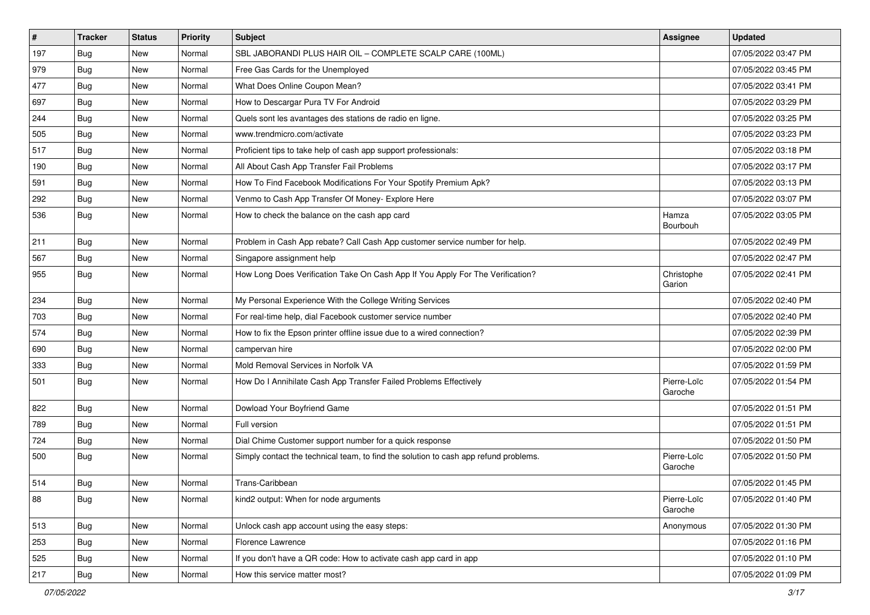| #   | <b>Tracker</b> | <b>Status</b> | Priority | <b>Subject</b>                                                                       | <b>Assignee</b>        | <b>Updated</b>      |
|-----|----------------|---------------|----------|--------------------------------------------------------------------------------------|------------------------|---------------------|
| 197 | <b>Bug</b>     | New           | Normal   | SBL JABORANDI PLUS HAIR OIL - COMPLETE SCALP CARE (100ML)                            |                        | 07/05/2022 03:47 PM |
| 979 | Bug            | New           | Normal   | Free Gas Cards for the Unemployed                                                    |                        | 07/05/2022 03:45 PM |
| 477 | Bug            | New           | Normal   | What Does Online Coupon Mean?                                                        |                        | 07/05/2022 03:41 PM |
| 697 | <b>Bug</b>     | New           | Normal   | How to Descargar Pura TV For Android                                                 |                        | 07/05/2022 03:29 PM |
| 244 | Bug            | <b>New</b>    | Normal   | Quels sont les avantages des stations de radio en ligne.                             |                        | 07/05/2022 03:25 PM |
| 505 | <b>Bug</b>     | New           | Normal   | www.trendmicro.com/activate                                                          |                        | 07/05/2022 03:23 PM |
| 517 | <b>Bug</b>     | New           | Normal   | Proficient tips to take help of cash app support professionals:                      |                        | 07/05/2022 03:18 PM |
| 190 | <b>Bug</b>     | New           | Normal   | All About Cash App Transfer Fail Problems                                            |                        | 07/05/2022 03:17 PM |
| 591 | Bug            | New           | Normal   | How To Find Facebook Modifications For Your Spotify Premium Apk?                     |                        | 07/05/2022 03:13 PM |
| 292 | Bug            | New           | Normal   | Venmo to Cash App Transfer Of Money- Explore Here                                    |                        | 07/05/2022 03:07 PM |
| 536 | <b>Bug</b>     | New           | Normal   | How to check the balance on the cash app card                                        | Hamza<br>Bourbouh      | 07/05/2022 03:05 PM |
| 211 | Bug            | <b>New</b>    | Normal   | Problem in Cash App rebate? Call Cash App customer service number for help.          |                        | 07/05/2022 02:49 PM |
| 567 | <b>Bug</b>     | New           | Normal   | Singapore assignment help                                                            |                        | 07/05/2022 02:47 PM |
| 955 | <b>Bug</b>     | New           | Normal   | How Long Does Verification Take On Cash App If You Apply For The Verification?       | Christophe<br>Garion   | 07/05/2022 02:41 PM |
| 234 | <b>Bug</b>     | New           | Normal   | My Personal Experience With the College Writing Services                             |                        | 07/05/2022 02:40 PM |
| 703 | <b>Bug</b>     | New           | Normal   | For real-time help, dial Facebook customer service number                            |                        | 07/05/2022 02:40 PM |
| 574 | Bug            | New           | Normal   | How to fix the Epson printer offline issue due to a wired connection?                |                        | 07/05/2022 02:39 PM |
| 690 | <b>Bug</b>     | New           | Normal   | campervan hire                                                                       |                        | 07/05/2022 02:00 PM |
| 333 | Bug            | <b>New</b>    | Normal   | Mold Removal Services in Norfolk VA                                                  |                        | 07/05/2022 01:59 PM |
| 501 | Bug            | New           | Normal   | How Do I Annihilate Cash App Transfer Failed Problems Effectively                    | Pierre-Loïc<br>Garoche | 07/05/2022 01:54 PM |
| 822 | <b>Bug</b>     | New           | Normal   | Dowload Your Boyfriend Game                                                          |                        | 07/05/2022 01:51 PM |
| 789 | <b>Bug</b>     | New           | Normal   | Full version                                                                         |                        | 07/05/2022 01:51 PM |
| 724 | Bug            | New           | Normal   | Dial Chime Customer support number for a quick response                              |                        | 07/05/2022 01:50 PM |
| 500 | <b>Bug</b>     | New           | Normal   | Simply contact the technical team, to find the solution to cash app refund problems. | Pierre-Loïc<br>Garoche | 07/05/2022 01:50 PM |
| 514 | <b>Bug</b>     | New           | Normal   | Trans-Caribbean                                                                      |                        | 07/05/2022 01:45 PM |
| 88  | <b>Bug</b>     | New           | Normal   | kind2 output: When for node arguments                                                | Pierre-Loïc<br>Garoche | 07/05/2022 01:40 PM |
| 513 | Bug            | <b>New</b>    | Normal   | Unlock cash app account using the easy steps:                                        | Anonymous              | 07/05/2022 01:30 PM |
| 253 | Bug            | New           | Normal   | Florence Lawrence                                                                    |                        | 07/05/2022 01:16 PM |
| 525 | Bug            | New           | Normal   | If you don't have a QR code: How to activate cash app card in app                    |                        | 07/05/2022 01:10 PM |
| 217 | Bug            | New           | Normal   | How this service matter most?                                                        |                        | 07/05/2022 01:09 PM |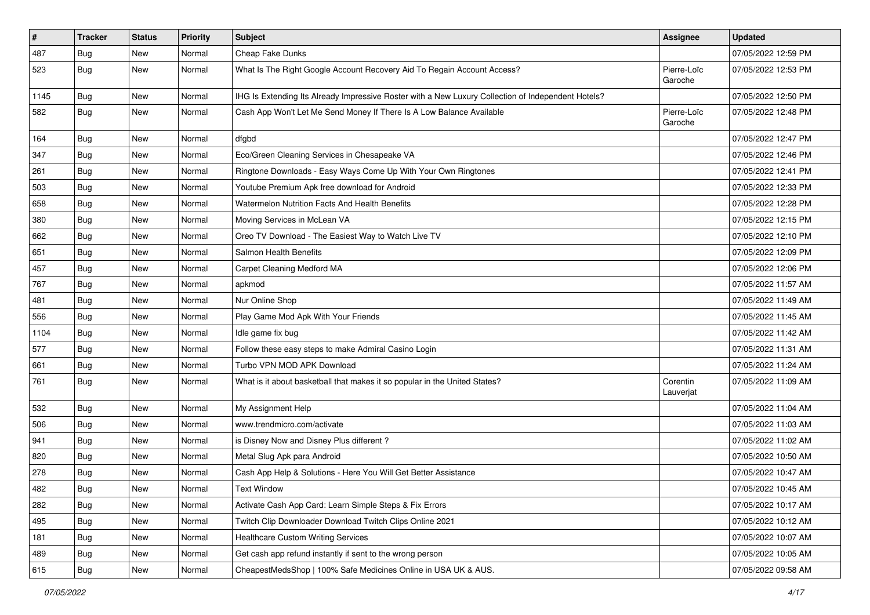| $\vert$ # | <b>Tracker</b> | <b>Status</b> | Priority | <b>Subject</b>                                                                                     | <b>Assignee</b>        | <b>Updated</b>      |
|-----------|----------------|---------------|----------|----------------------------------------------------------------------------------------------------|------------------------|---------------------|
| 487       | <b>Bug</b>     | New           | Normal   | Cheap Fake Dunks                                                                                   |                        | 07/05/2022 12:59 PM |
| 523       | <b>Bug</b>     | New           | Normal   | What Is The Right Google Account Recovery Aid To Regain Account Access?                            | Pierre-Loïc<br>Garoche | 07/05/2022 12:53 PM |
| 1145      | <b>Bug</b>     | New           | Normal   | IHG Is Extending Its Already Impressive Roster with a New Luxury Collection of Independent Hotels? |                        | 07/05/2022 12:50 PM |
| 582       | <b>Bug</b>     | New           | Normal   | Cash App Won't Let Me Send Money If There Is A Low Balance Available                               | Pierre-Loïc<br>Garoche | 07/05/2022 12:48 PM |
| 164       | Bug            | New           | Normal   | dfgbd                                                                                              |                        | 07/05/2022 12:47 PM |
| 347       | <b>Bug</b>     | New           | Normal   | Eco/Green Cleaning Services in Chesapeake VA                                                       |                        | 07/05/2022 12:46 PM |
| 261       | <b>Bug</b>     | New           | Normal   | Ringtone Downloads - Easy Ways Come Up With Your Own Ringtones                                     |                        | 07/05/2022 12:41 PM |
| 503       | <b>Bug</b>     | New           | Normal   | Youtube Premium Apk free download for Android                                                      |                        | 07/05/2022 12:33 PM |
| 658       | <b>Bug</b>     | New           | Normal   | <b>Watermelon Nutrition Facts And Health Benefits</b>                                              |                        | 07/05/2022 12:28 PM |
| 380       | <b>Bug</b>     | New           | Normal   | Moving Services in McLean VA                                                                       |                        | 07/05/2022 12:15 PM |
| 662       | Bug            | New           | Normal   | Oreo TV Download - The Easiest Way to Watch Live TV                                                |                        | 07/05/2022 12:10 PM |
| 651       | <b>Bug</b>     | New           | Normal   | Salmon Health Benefits                                                                             |                        | 07/05/2022 12:09 PM |
| 457       | Bug            | New           | Normal   | Carpet Cleaning Medford MA                                                                         |                        | 07/05/2022 12:06 PM |
| 767       | Bug            | New           | Normal   | apkmod                                                                                             |                        | 07/05/2022 11:57 AM |
| 481       | <b>Bug</b>     | New           | Normal   | Nur Online Shop                                                                                    |                        | 07/05/2022 11:49 AM |
| 556       | <b>Bug</b>     | New           | Normal   | Play Game Mod Apk With Your Friends                                                                |                        | 07/05/2022 11:45 AM |
| 1104      | <b>Bug</b>     | New           | Normal   | Idle game fix bug                                                                                  |                        | 07/05/2022 11:42 AM |
| 577       | <b>Bug</b>     | New           | Normal   | Follow these easy steps to make Admiral Casino Login                                               |                        | 07/05/2022 11:31 AM |
| 661       | <b>Bug</b>     | New           | Normal   | Turbo VPN MOD APK Download                                                                         |                        | 07/05/2022 11:24 AM |
| 761       | <b>Bug</b>     | New           | Normal   | What is it about basketball that makes it so popular in the United States?                         | Corentin<br>Lauverjat  | 07/05/2022 11:09 AM |
| 532       | <b>Bug</b>     | New           | Normal   | My Assignment Help                                                                                 |                        | 07/05/2022 11:04 AM |
| 506       | <b>Bug</b>     | New           | Normal   | www.trendmicro.com/activate                                                                        |                        | 07/05/2022 11:03 AM |
| 941       | Bug            | New           | Normal   | is Disney Now and Disney Plus different?                                                           |                        | 07/05/2022 11:02 AM |
| 820       | <b>Bug</b>     | New           | Normal   | Metal Slug Apk para Android                                                                        |                        | 07/05/2022 10:50 AM |
| 278       | <b>Bug</b>     | New           | Normal   | Cash App Help & Solutions - Here You Will Get Better Assistance                                    |                        | 07/05/2022 10:47 AM |
| 482       | <b>Bug</b>     | New           | Normal   | <b>Text Window</b>                                                                                 |                        | 07/05/2022 10:45 AM |
| 282       | <b>Bug</b>     | New           | Normal   | Activate Cash App Card: Learn Simple Steps & Fix Errors                                            |                        | 07/05/2022 10:17 AM |
| 495       | <b>Bug</b>     | New           | Normal   | Twitch Clip Downloader Download Twitch Clips Online 2021                                           |                        | 07/05/2022 10:12 AM |
| 181       | Bug            | New           | Normal   | <b>Healthcare Custom Writing Services</b>                                                          |                        | 07/05/2022 10:07 AM |
| 489       | Bug            | New           | Normal   | Get cash app refund instantly if sent to the wrong person                                          |                        | 07/05/2022 10:05 AM |
| 615       | Bug            | New           | Normal   | CheapestMedsShop   100% Safe Medicines Online in USA UK & AUS.                                     |                        | 07/05/2022 09:58 AM |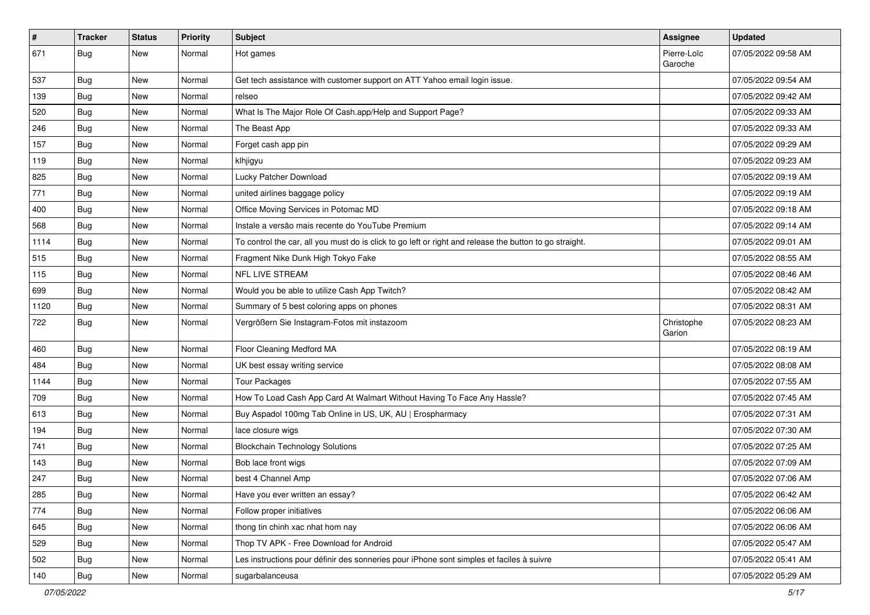| $\vert$ # | <b>Tracker</b> | <b>Status</b> | <b>Priority</b> | <b>Subject</b>                                                                                          | Assignee               | <b>Updated</b>      |
|-----------|----------------|---------------|-----------------|---------------------------------------------------------------------------------------------------------|------------------------|---------------------|
| 671       | <b>Bug</b>     | New           | Normal          | Hot games                                                                                               | Pierre-Loïc<br>Garoche | 07/05/2022 09:58 AM |
| 537       | Bug            | New           | Normal          | Get tech assistance with customer support on ATT Yahoo email login issue.                               |                        | 07/05/2022 09:54 AM |
| 139       | Bug            | New           | Normal          | relseo                                                                                                  |                        | 07/05/2022 09:42 AM |
| 520       | Bug            | <b>New</b>    | Normal          | What Is The Major Role Of Cash.app/Help and Support Page?                                               |                        | 07/05/2022 09:33 AM |
| 246       | Bug            | New           | Normal          | The Beast App                                                                                           |                        | 07/05/2022 09:33 AM |
| 157       | <b>Bug</b>     | New           | Normal          | Forget cash app pin                                                                                     |                        | 07/05/2022 09:29 AM |
| 119       | Bug            | <b>New</b>    | Normal          | klhjigyu                                                                                                |                        | 07/05/2022 09:23 AM |
| 825       | <b>Bug</b>     | New           | Normal          | Lucky Patcher Download                                                                                  |                        | 07/05/2022 09:19 AM |
| 771       | Bug            | <b>New</b>    | Normal          | united airlines baggage policy                                                                          |                        | 07/05/2022 09:19 AM |
| 400       | Bug            | New           | Normal          | Office Moving Services in Potomac MD                                                                    |                        | 07/05/2022 09:18 AM |
| 568       | Bug            | New           | Normal          | Instale a versão mais recente do YouTube Premium                                                        |                        | 07/05/2022 09:14 AM |
| 1114      | Bug            | <b>New</b>    | Normal          | To control the car, all you must do is click to go left or right and release the button to go straight. |                        | 07/05/2022 09:01 AM |
| 515       | Bug            | New           | Normal          | Fragment Nike Dunk High Tokyo Fake                                                                      |                        | 07/05/2022 08:55 AM |
| 115       | Bug            | New           | Normal          | NFL LIVE STREAM                                                                                         |                        | 07/05/2022 08:46 AM |
| 699       | Bug            | New           | Normal          | Would you be able to utilize Cash App Twitch?                                                           |                        | 07/05/2022 08:42 AM |
| 1120      | Bug            | <b>New</b>    | Normal          | Summary of 5 best coloring apps on phones                                                               |                        | 07/05/2022 08:31 AM |
| 722       | Bug            | <b>New</b>    | Normal          | Vergrößern Sie Instagram-Fotos mit instazoom                                                            | Christophe<br>Garion   | 07/05/2022 08:23 AM |
| 460       | Bug            | <b>New</b>    | Normal          | Floor Cleaning Medford MA                                                                               |                        | 07/05/2022 08:19 AM |
| 484       | <b>Bug</b>     | <b>New</b>    | Normal          | UK best essay writing service                                                                           |                        | 07/05/2022 08:08 AM |
| 1144      | Bug            | New           | Normal          | <b>Tour Packages</b>                                                                                    |                        | 07/05/2022 07:55 AM |
| 709       | Bug            | New           | Normal          | How To Load Cash App Card At Walmart Without Having To Face Any Hassle?                                 |                        | 07/05/2022 07:45 AM |
| 613       | <b>Bug</b>     | New           | Normal          | Buy Aspadol 100mg Tab Online in US, UK, AU   Erospharmacy                                               |                        | 07/05/2022 07:31 AM |
| 194       | <b>Bug</b>     | New           | Normal          | lace closure wigs                                                                                       |                        | 07/05/2022 07:30 AM |
| 741       | Bug            | <b>New</b>    | Normal          | <b>Blockchain Technology Solutions</b>                                                                  |                        | 07/05/2022 07:25 AM |
| 143       | <b>Bug</b>     | New           | Normal          | Bob lace front wigs                                                                                     |                        | 07/05/2022 07:09 AM |
| 247       | <b>Bug</b>     | New           | Normal          | best 4 Channel Amp                                                                                      |                        | 07/05/2022 07:06 AM |
| 285       | Bug            | New           | Normal          | Have you ever written an essay?                                                                         |                        | 07/05/2022 06:42 AM |
| 774       | Bug            | New           | Normal          | Follow proper initiatives                                                                               |                        | 07/05/2022 06:06 AM |
| 645       | <b>Bug</b>     | <b>New</b>    | Normal          | thong tin chinh xac nhat hom nay                                                                        |                        | 07/05/2022 06:06 AM |
| 529       | Bug            | New           | Normal          | Thop TV APK - Free Download for Android                                                                 |                        | 07/05/2022 05:47 AM |
| 502       | Bug            | New           | Normal          | Les instructions pour définir des sonneries pour iPhone sont simples et faciles à suivre                |                        | 07/05/2022 05:41 AM |
| 140       | <b>Bug</b>     | New           | Normal          | sugarbalanceusa                                                                                         |                        | 07/05/2022 05:29 AM |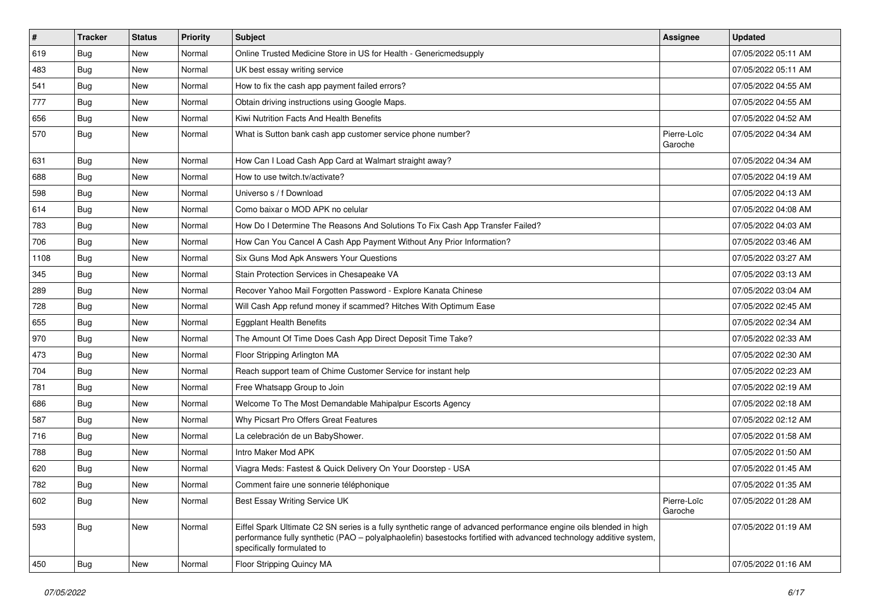| $\pmb{\#}$ | <b>Tracker</b> | <b>Status</b> | Priority | <b>Subject</b>                                                                                                                                                                                                                                                        | <b>Assignee</b>        | <b>Updated</b>      |
|------------|----------------|---------------|----------|-----------------------------------------------------------------------------------------------------------------------------------------------------------------------------------------------------------------------------------------------------------------------|------------------------|---------------------|
| 619        | Bug            | New           | Normal   | Online Trusted Medicine Store in US for Health - Genericmedsupply                                                                                                                                                                                                     |                        | 07/05/2022 05:11 AM |
| 483        | Bug            | <b>New</b>    | Normal   | UK best essay writing service                                                                                                                                                                                                                                         |                        | 07/05/2022 05:11 AM |
| 541        | <b>Bug</b>     | New           | Normal   | How to fix the cash app payment failed errors?                                                                                                                                                                                                                        |                        | 07/05/2022 04:55 AM |
| 777        | <b>Bug</b>     | New           | Normal   | Obtain driving instructions using Google Maps.                                                                                                                                                                                                                        |                        | 07/05/2022 04:55 AM |
| 656        | <b>Bug</b>     | New           | Normal   | Kiwi Nutrition Facts And Health Benefits                                                                                                                                                                                                                              |                        | 07/05/2022 04:52 AM |
| 570        | <b>Bug</b>     | New           | Normal   | What is Sutton bank cash app customer service phone number?                                                                                                                                                                                                           | Pierre-Loïc<br>Garoche | 07/05/2022 04:34 AM |
| 631        | Bug            | New           | Normal   | How Can I Load Cash App Card at Walmart straight away?                                                                                                                                                                                                                |                        | 07/05/2022 04:34 AM |
| 688        | <b>Bug</b>     | New           | Normal   | How to use twitch.tv/activate?                                                                                                                                                                                                                                        |                        | 07/05/2022 04:19 AM |
| 598        | Bug            | <b>New</b>    | Normal   | Universo s / f Download                                                                                                                                                                                                                                               |                        | 07/05/2022 04:13 AM |
| 614        | <b>Bug</b>     | New           | Normal   | Como baixar o MOD APK no celular                                                                                                                                                                                                                                      |                        | 07/05/2022 04:08 AM |
| 783        | <b>Bug</b>     | New           | Normal   | How Do I Determine The Reasons And Solutions To Fix Cash App Transfer Failed?                                                                                                                                                                                         |                        | 07/05/2022 04:03 AM |
| 706        | <b>Bug</b>     | New           | Normal   | How Can You Cancel A Cash App Payment Without Any Prior Information?                                                                                                                                                                                                  |                        | 07/05/2022 03:46 AM |
| 1108       | Bug            | New           | Normal   | Six Guns Mod Apk Answers Your Questions                                                                                                                                                                                                                               |                        | 07/05/2022 03:27 AM |
| 345        | Bug            | <b>New</b>    | Normal   | Stain Protection Services in Chesapeake VA                                                                                                                                                                                                                            |                        | 07/05/2022 03:13 AM |
| 289        | Bug            | New           | Normal   | Recover Yahoo Mail Forgotten Password - Explore Kanata Chinese                                                                                                                                                                                                        |                        | 07/05/2022 03:04 AM |
| 728        | <b>Bug</b>     | New           | Normal   | Will Cash App refund money if scammed? Hitches With Optimum Ease                                                                                                                                                                                                      |                        | 07/05/2022 02:45 AM |
| 655        | Bug            | New           | Normal   | <b>Eggplant Health Benefits</b>                                                                                                                                                                                                                                       |                        | 07/05/2022 02:34 AM |
| 970        | <b>Bug</b>     | New           | Normal   | The Amount Of Time Does Cash App Direct Deposit Time Take?                                                                                                                                                                                                            |                        | 07/05/2022 02:33 AM |
| 473        | <b>Bug</b>     | New           | Normal   | Floor Stripping Arlington MA                                                                                                                                                                                                                                          |                        | 07/05/2022 02:30 AM |
| 704        | Bug            | New           | Normal   | Reach support team of Chime Customer Service for instant help                                                                                                                                                                                                         |                        | 07/05/2022 02:23 AM |
| 781        | <b>Bug</b>     | New           | Normal   | Free Whatsapp Group to Join                                                                                                                                                                                                                                           |                        | 07/05/2022 02:19 AM |
| 686        | Bug            | New           | Normal   | Welcome To The Most Demandable Mahipalpur Escorts Agency                                                                                                                                                                                                              |                        | 07/05/2022 02:18 AM |
| 587        | <b>Bug</b>     | New           | Normal   | Why Picsart Pro Offers Great Features                                                                                                                                                                                                                                 |                        | 07/05/2022 02:12 AM |
| 716        | <b>Bug</b>     | New           | Normal   | La celebración de un BabyShower.                                                                                                                                                                                                                                      |                        | 07/05/2022 01:58 AM |
| 788        | <b>Bug</b>     | New           | Normal   | Intro Maker Mod APK                                                                                                                                                                                                                                                   |                        | 07/05/2022 01:50 AM |
| 620        | Bug            | New           | Normal   | Viagra Meds: Fastest & Quick Delivery On Your Doorstep - USA                                                                                                                                                                                                          |                        | 07/05/2022 01:45 AM |
| 782        | <b>Bug</b>     | New           | Normal   | Comment faire une sonnerie téléphonique                                                                                                                                                                                                                               |                        | 07/05/2022 01:35 AM |
| 602        | <b>Bug</b>     | New           | Normal   | Best Essay Writing Service UK                                                                                                                                                                                                                                         | Pierre-Loïc<br>Garoche | 07/05/2022 01:28 AM |
| 593        | <b>Bug</b>     | New           | Normal   | Eiffel Spark Ultimate C2 SN series is a fully synthetic range of advanced performance engine oils blended in high<br>performance fully synthetic (PAO - polyalphaolefin) basestocks fortified with advanced technology additive system,<br>specifically formulated to |                        | 07/05/2022 01:19 AM |
| 450        | Bug            | New           | Normal   | Floor Stripping Quincy MA                                                                                                                                                                                                                                             |                        | 07/05/2022 01:16 AM |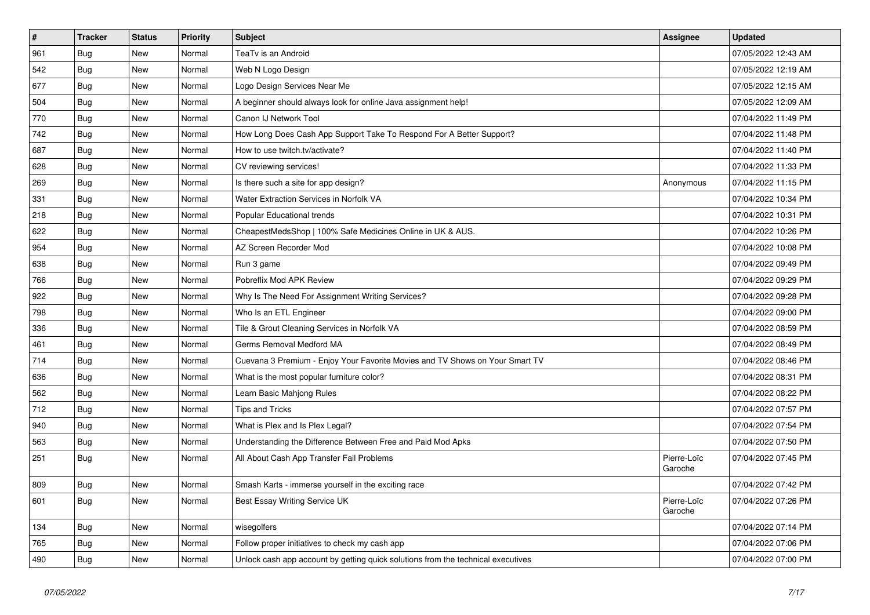| $\vert$ # | <b>Tracker</b> | <b>Status</b> | Priority | Subject                                                                          | <b>Assignee</b>        | <b>Updated</b>      |
|-----------|----------------|---------------|----------|----------------------------------------------------------------------------------|------------------------|---------------------|
| 961       | Bug            | <b>New</b>    | Normal   | TeaTv is an Android                                                              |                        | 07/05/2022 12:43 AM |
| 542       | Bug            | <b>New</b>    | Normal   | Web N Logo Design                                                                |                        | 07/05/2022 12:19 AM |
| 677       | Bug            | New           | Normal   | Logo Design Services Near Me                                                     |                        | 07/05/2022 12:15 AM |
| 504       | <b>Bug</b>     | New           | Normal   | A beginner should always look for online Java assignment help!                   |                        | 07/05/2022 12:09 AM |
| 770       | <b>Bug</b>     | New           | Normal   | Canon IJ Network Tool                                                            |                        | 07/04/2022 11:49 PM |
| 742       | <b>Bug</b>     | <b>New</b>    | Normal   | How Long Does Cash App Support Take To Respond For A Better Support?             |                        | 07/04/2022 11:48 PM |
| 687       | Bug            | <b>New</b>    | Normal   | How to use twitch.tv/activate?                                                   |                        | 07/04/2022 11:40 PM |
| 628       | Bug            | New           | Normal   | CV reviewing services!                                                           |                        | 07/04/2022 11:33 PM |
| 269       | Bug            | New           | Normal   | Is there such a site for app design?                                             | Anonymous              | 07/04/2022 11:15 PM |
| 331       | <b>Bug</b>     | New           | Normal   | Water Extraction Services in Norfolk VA                                          |                        | 07/04/2022 10:34 PM |
| 218       | <b>Bug</b>     | New           | Normal   | Popular Educational trends                                                       |                        | 07/04/2022 10:31 PM |
| 622       | <b>Bug</b>     | New           | Normal   | CheapestMedsShop   100% Safe Medicines Online in UK & AUS.                       |                        | 07/04/2022 10:26 PM |
| 954       | <b>Bug</b>     | New           | Normal   | AZ Screen Recorder Mod                                                           |                        | 07/04/2022 10:08 PM |
| 638       | Bug            | New           | Normal   | Run 3 game                                                                       |                        | 07/04/2022 09:49 PM |
| 766       | Bug            | New           | Normal   | Pobreflix Mod APK Review                                                         |                        | 07/04/2022 09:29 PM |
| 922       | Bug            | New           | Normal   | Why Is The Need For Assignment Writing Services?                                 |                        | 07/04/2022 09:28 PM |
| 798       | <b>Bug</b>     | New           | Normal   | Who Is an ETL Engineer                                                           |                        | 07/04/2022 09:00 PM |
| 336       | <b>Bug</b>     | New           | Normal   | Tile & Grout Cleaning Services in Norfolk VA                                     |                        | 07/04/2022 08:59 PM |
| 461       | <b>Bug</b>     | New           | Normal   | Germs Removal Medford MA                                                         |                        | 07/04/2022 08:49 PM |
| 714       | <b>Bug</b>     | New           | Normal   | Cuevana 3 Premium - Enjoy Your Favorite Movies and TV Shows on Your Smart TV     |                        | 07/04/2022 08:46 PM |
| 636       | Bug            | New           | Normal   | What is the most popular furniture color?                                        |                        | 07/04/2022 08:31 PM |
| 562       | Bug            | New           | Normal   | Learn Basic Mahjong Rules                                                        |                        | 07/04/2022 08:22 PM |
| 712       | Bug            | New           | Normal   | <b>Tips and Tricks</b>                                                           |                        | 07/04/2022 07:57 PM |
| 940       | Bug            | New           | Normal   | What is Plex and Is Plex Legal?                                                  |                        | 07/04/2022 07:54 PM |
| 563       | <b>Bug</b>     | New           | Normal   | Understanding the Difference Between Free and Paid Mod Apks                      |                        | 07/04/2022 07:50 PM |
| 251       | <b>Bug</b>     | <b>New</b>    | Normal   | All About Cash App Transfer Fail Problems                                        | Pierre-Loïc<br>Garoche | 07/04/2022 07:45 PM |
| 809       | <b>Bug</b>     | New           | Normal   | Smash Karts - immerse yourself in the exciting race                              |                        | 07/04/2022 07:42 PM |
| 601       | Bug            | New           | Normal   | Best Essay Writing Service UK                                                    | Pierre-Loïc<br>Garoche | 07/04/2022 07:26 PM |
| 134       | <b>Bug</b>     | <b>New</b>    | Normal   | wisegolfers                                                                      |                        | 07/04/2022 07:14 PM |
| 765       | <b>Bug</b>     | New           | Normal   | Follow proper initiatives to check my cash app                                   |                        | 07/04/2022 07:06 PM |
| 490       | Bug            | <b>New</b>    | Normal   | Unlock cash app account by getting quick solutions from the technical executives |                        | 07/04/2022 07:00 PM |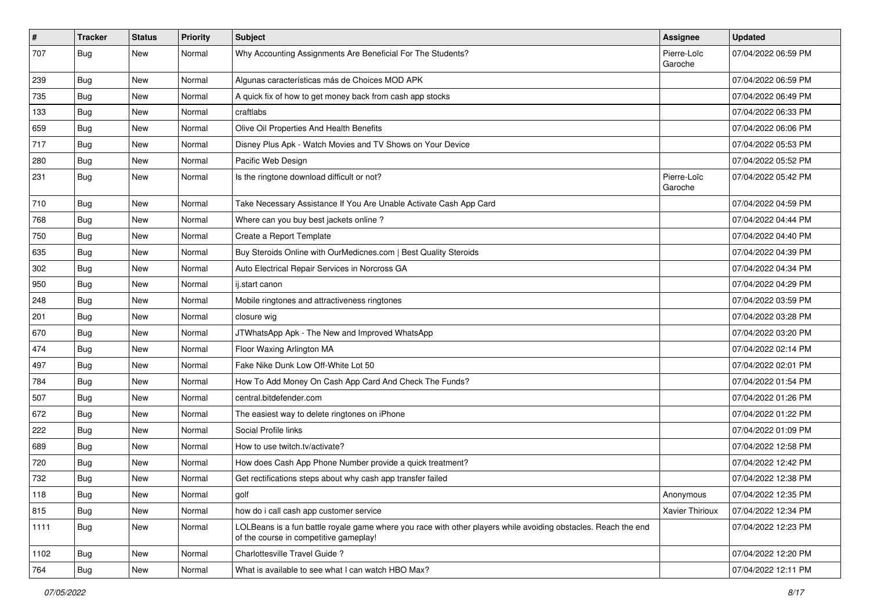| $\vert$ # | <b>Tracker</b> | <b>Status</b> | Priority | <b>Subject</b>                                                                                                                                           | Assignee               | <b>Updated</b>      |
|-----------|----------------|---------------|----------|----------------------------------------------------------------------------------------------------------------------------------------------------------|------------------------|---------------------|
| 707       | Bug            | New           | Normal   | Why Accounting Assignments Are Beneficial For The Students?                                                                                              | Pierre-Loïc<br>Garoche | 07/04/2022 06:59 PM |
| 239       | Bug            | New           | Normal   | Algunas características más de Choices MOD APK                                                                                                           |                        | 07/04/2022 06:59 PM |
| 735       | <b>Bug</b>     | New           | Normal   | A quick fix of how to get money back from cash app stocks                                                                                                |                        | 07/04/2022 06:49 PM |
| 133       | Bug            | <b>New</b>    | Normal   | craftlabs                                                                                                                                                |                        | 07/04/2022 06:33 PM |
| 659       | <b>Bug</b>     | New           | Normal   | Olive Oil Properties And Health Benefits                                                                                                                 |                        | 07/04/2022 06:06 PM |
| 717       | <b>Bug</b>     | New           | Normal   | Disney Plus Apk - Watch Movies and TV Shows on Your Device                                                                                               |                        | 07/04/2022 05:53 PM |
| 280       | Bug            | New           | Normal   | Pacific Web Design                                                                                                                                       |                        | 07/04/2022 05:52 PM |
| 231       | <b>Bug</b>     | New           | Normal   | Is the ringtone download difficult or not?                                                                                                               | Pierre-Loïc<br>Garoche | 07/04/2022 05:42 PM |
| 710       | Bug            | New           | Normal   | Take Necessary Assistance If You Are Unable Activate Cash App Card                                                                                       |                        | 07/04/2022 04:59 PM |
| 768       | <b>Bug</b>     | New           | Normal   | Where can you buy best jackets online?                                                                                                                   |                        | 07/04/2022 04:44 PM |
| 750       | <b>Bug</b>     | New           | Normal   | Create a Report Template                                                                                                                                 |                        | 07/04/2022 04:40 PM |
| 635       | <b>Bug</b>     | New           | Normal   | Buy Steroids Online with OurMedicnes.com   Best Quality Steroids                                                                                         |                        | 07/04/2022 04:39 PM |
| 302       | <b>Bug</b>     | New           | Normal   | Auto Electrical Repair Services in Norcross GA                                                                                                           |                        | 07/04/2022 04:34 PM |
| 950       | Bug            | New           | Normal   | ij.start canon                                                                                                                                           |                        | 07/04/2022 04:29 PM |
| 248       | <b>Bug</b>     | New           | Normal   | Mobile ringtones and attractiveness ringtones                                                                                                            |                        | 07/04/2022 03:59 PM |
| 201       | <b>Bug</b>     | New           | Normal   | closure wig                                                                                                                                              |                        | 07/04/2022 03:28 PM |
| 670       | <b>Bug</b>     | New           | Normal   | JTWhatsApp Apk - The New and Improved WhatsApp                                                                                                           |                        | 07/04/2022 03:20 PM |
| 474       | <b>Bug</b>     | New           | Normal   | Floor Waxing Arlington MA                                                                                                                                |                        | 07/04/2022 02:14 PM |
| 497       | <b>Bug</b>     | New           | Normal   | Fake Nike Dunk Low Off-White Lot 50                                                                                                                      |                        | 07/04/2022 02:01 PM |
| 784       | <b>Bug</b>     | New           | Normal   | How To Add Money On Cash App Card And Check The Funds?                                                                                                   |                        | 07/04/2022 01:54 PM |
| 507       | Bug            | New           | Normal   | central.bitdefender.com                                                                                                                                  |                        | 07/04/2022 01:26 PM |
| 672       | <b>Bug</b>     | New           | Normal   | The easiest way to delete ringtones on iPhone                                                                                                            |                        | 07/04/2022 01:22 PM |
| 222       | Bug            | New           | Normal   | Social Profile links                                                                                                                                     |                        | 07/04/2022 01:09 PM |
| 689       | <b>Bug</b>     | New           | Normal   | How to use twitch.tv/activate?                                                                                                                           |                        | 07/04/2022 12:58 PM |
| 720       | <b>Bug</b>     | New           | Normal   | How does Cash App Phone Number provide a quick treatment?                                                                                                |                        | 07/04/2022 12:42 PM |
| 732       | Bug            | New           | Normal   | Get rectifications steps about why cash app transfer failed                                                                                              |                        | 07/04/2022 12:38 PM |
| 118       | <b>Bug</b>     | New           | Normal   | golf                                                                                                                                                     | Anonymous              | 07/04/2022 12:35 PM |
| 815       | Bug            | New           | Normal   | how do i call cash app customer service                                                                                                                  | <b>Xavier Thirioux</b> | 07/04/2022 12:34 PM |
| 1111      | <b>Bug</b>     | New           | Normal   | LOLBeans is a fun battle royale game where you race with other players while avoiding obstacles. Reach the end<br>of the course in competitive gameplay! |                        | 07/04/2022 12:23 PM |
| 1102      | Bug            | New           | Normal   | Charlottesville Travel Guide?                                                                                                                            |                        | 07/04/2022 12:20 PM |
| 764       | Bug            | New           | Normal   | What is available to see what I can watch HBO Max?                                                                                                       |                        | 07/04/2022 12:11 PM |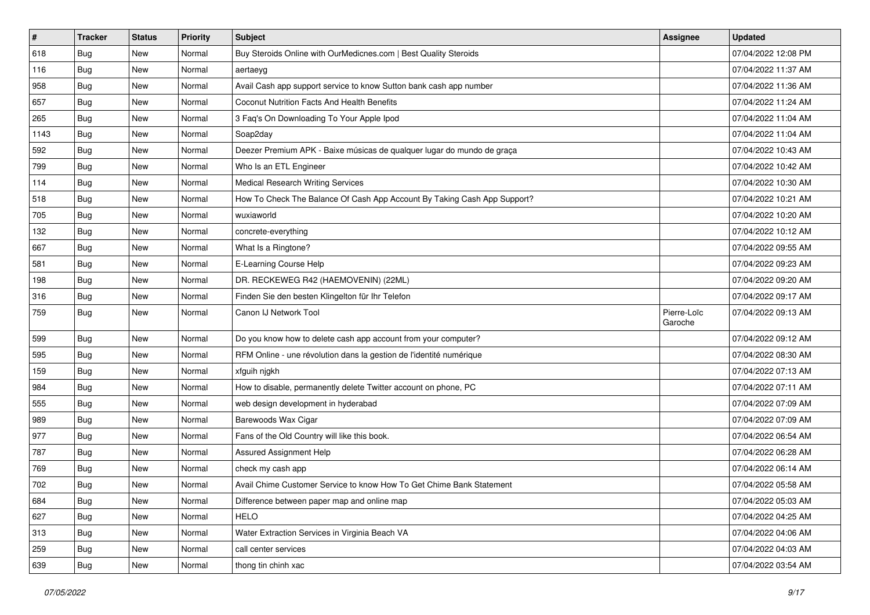| $\sharp$ | <b>Tracker</b> | <b>Status</b> | <b>Priority</b> | <b>Subject</b>                                                           | <b>Assignee</b>        | <b>Updated</b>      |
|----------|----------------|---------------|-----------------|--------------------------------------------------------------------------|------------------------|---------------------|
| 618      | <b>Bug</b>     | New           | Normal          | Buy Steroids Online with OurMedicnes.com   Best Quality Steroids         |                        | 07/04/2022 12:08 PM |
| 116      | <b>Bug</b>     | New           | Normal          | aertaeyg                                                                 |                        | 07/04/2022 11:37 AM |
| 958      | Bug            | New           | Normal          | Avail Cash app support service to know Sutton bank cash app number       |                        | 07/04/2022 11:36 AM |
| 657      | <b>Bug</b>     | New           | Normal          | Coconut Nutrition Facts And Health Benefits                              |                        | 07/04/2022 11:24 AM |
| 265      | <b>Bug</b>     | New           | Normal          | 3 Faq's On Downloading To Your Apple Ipod                                |                        | 07/04/2022 11:04 AM |
| 1143     | <b>Bug</b>     | New           | Normal          | Soap2day                                                                 |                        | 07/04/2022 11:04 AM |
| 592      | Bug            | New           | Normal          | Deezer Premium APK - Baixe músicas de qualquer lugar do mundo de graça   |                        | 07/04/2022 10:43 AM |
| 799      | <b>Bug</b>     | New           | Normal          | Who Is an ETL Engineer                                                   |                        | 07/04/2022 10:42 AM |
| 114      | Bug            | New           | Normal          | <b>Medical Research Writing Services</b>                                 |                        | 07/04/2022 10:30 AM |
| 518      | Bug            | New           | Normal          | How To Check The Balance Of Cash App Account By Taking Cash App Support? |                        | 07/04/2022 10:21 AM |
| 705      | <b>Bug</b>     | New           | Normal          | wuxiaworld                                                               |                        | 07/04/2022 10:20 AM |
| 132      | Bug            | New           | Normal          | concrete-everything                                                      |                        | 07/04/2022 10:12 AM |
| 667      | Bug            | New           | Normal          | What Is a Ringtone?                                                      |                        | 07/04/2022 09:55 AM |
| 581      | <b>Bug</b>     | New           | Normal          | E-Learning Course Help                                                   |                        | 07/04/2022 09:23 AM |
| 198      | <b>Bug</b>     | New           | Normal          | DR. RECKEWEG R42 (HAEMOVENIN) (22ML)                                     |                        | 07/04/2022 09:20 AM |
| 316      | Bug            | New           | Normal          | Finden Sie den besten Klingelton für Ihr Telefon                         |                        | 07/04/2022 09:17 AM |
| 759      | <b>Bug</b>     | New           | Normal          | Canon IJ Network Tool                                                    | Pierre-Loïc<br>Garoche | 07/04/2022 09:13 AM |
| 599      | <b>Bug</b>     | New           | Normal          | Do you know how to delete cash app account from your computer?           |                        | 07/04/2022 09:12 AM |
| 595      | Bug            | New           | Normal          | RFM Online - une révolution dans la gestion de l'identité numérique      |                        | 07/04/2022 08:30 AM |
| 159      | Bug            | New           | Normal          | xfguih njgkh                                                             |                        | 07/04/2022 07:13 AM |
| 984      | <b>Bug</b>     | New           | Normal          | How to disable, permanently delete Twitter account on phone, PC          |                        | 07/04/2022 07:11 AM |
| 555      | Bug            | New           | Normal          | web design development in hyderabad                                      |                        | 07/04/2022 07:09 AM |
| 989      | <b>Bug</b>     | New           | Normal          | Barewoods Wax Cigar                                                      |                        | 07/04/2022 07:09 AM |
| 977      | <b>Bug</b>     | New           | Normal          | Fans of the Old Country will like this book.                             |                        | 07/04/2022 06:54 AM |
| 787      | <b>Bug</b>     | New           | Normal          | Assured Assignment Help                                                  |                        | 07/04/2022 06:28 AM |
| 769      | <b>Bug</b>     | New           | Normal          | check my cash app                                                        |                        | 07/04/2022 06:14 AM |
| 702      | <b>Bug</b>     | New           | Normal          | Avail Chime Customer Service to know How To Get Chime Bank Statement     |                        | 07/04/2022 05:58 AM |
| 684      | <b>Bug</b>     | New           | Normal          | Difference between paper map and online map                              |                        | 07/04/2022 05:03 AM |
| 627      | <b>Bug</b>     | New           | Normal          | <b>HELO</b>                                                              |                        | 07/04/2022 04:25 AM |
| 313      | <b>Bug</b>     | New           | Normal          | Water Extraction Services in Virginia Beach VA                           |                        | 07/04/2022 04:06 AM |
| 259      | <b>Bug</b>     | New           | Normal          | call center services                                                     |                        | 07/04/2022 04:03 AM |
| 639      | <b>Bug</b>     | New           | Normal          | thong tin chinh xac                                                      |                        | 07/04/2022 03:54 AM |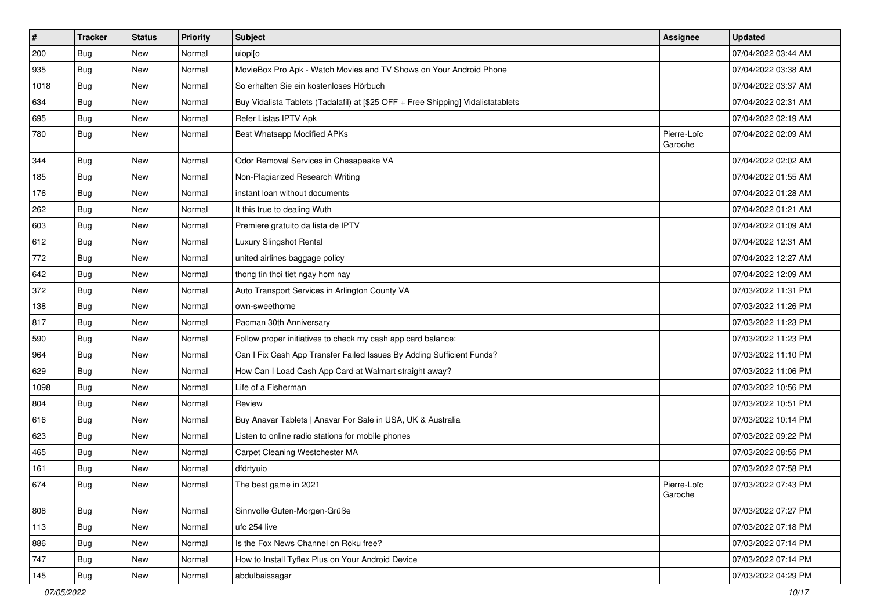| #    | <b>Tracker</b> | <b>Status</b> | <b>Priority</b> | Subject                                                                          | <b>Assignee</b>        | <b>Updated</b>      |
|------|----------------|---------------|-----------------|----------------------------------------------------------------------------------|------------------------|---------------------|
| 200  | <b>Bug</b>     | New           | Normal          | uiopi[o                                                                          |                        | 07/04/2022 03:44 AM |
| 935  | Bug            | <b>New</b>    | Normal          | MovieBox Pro Apk - Watch Movies and TV Shows on Your Android Phone               |                        | 07/04/2022 03:38 AM |
| 1018 | Bug            | New           | Normal          | So erhalten Sie ein kostenloses Hörbuch                                          |                        | 07/04/2022 03:37 AM |
| 634  | <b>Bug</b>     | New           | Normal          | Buy Vidalista Tablets (Tadalafil) at [\$25 OFF + Free Shipping] Vidalistatablets |                        | 07/04/2022 02:31 AM |
| 695  | Bug            | <b>New</b>    | Normal          | Refer Listas IPTV Apk                                                            |                        | 07/04/2022 02:19 AM |
| 780  | Bug            | New           | Normal          | Best Whatsapp Modified APKs                                                      | Pierre-Loïc<br>Garoche | 07/04/2022 02:09 AM |
| 344  | Bug            | <b>New</b>    | Normal          | Odor Removal Services in Chesapeake VA                                           |                        | 07/04/2022 02:02 AM |
| 185  | <b>Bug</b>     | New           | Normal          | Non-Plagiarized Research Writing                                                 |                        | 07/04/2022 01:55 AM |
| 176  | <b>Bug</b>     | New           | Normal          | instant loan without documents                                                   |                        | 07/04/2022 01:28 AM |
| 262  | <b>Bug</b>     | New           | Normal          | It this true to dealing Wuth                                                     |                        | 07/04/2022 01:21 AM |
| 603  | <b>Bug</b>     | New           | Normal          | Premiere gratuito da lista de IPTV                                               |                        | 07/04/2022 01:09 AM |
| 612  | Bug            | <b>New</b>    | Normal          | Luxury Slingshot Rental                                                          |                        | 07/04/2022 12:31 AM |
| 772  | <b>Bug</b>     | New           | Normal          | united airlines baggage policy                                                   |                        | 07/04/2022 12:27 AM |
| 642  | <b>Bug</b>     | <b>New</b>    | Normal          | thong tin thoi tiet ngay hom nay                                                 |                        | 07/04/2022 12:09 AM |
| 372  | <b>Bug</b>     | New           | Normal          | Auto Transport Services in Arlington County VA                                   |                        | 07/03/2022 11:31 PM |
| 138  | <b>Bug</b>     | New           | Normal          | own-sweethome                                                                    |                        | 07/03/2022 11:26 PM |
| 817  | Bug            | <b>New</b>    | Normal          | Pacman 30th Anniversary                                                          |                        | 07/03/2022 11:23 PM |
| 590  | <b>Bug</b>     | New           | Normal          | Follow proper initiatives to check my cash app card balance:                     |                        | 07/03/2022 11:23 PM |
| 964  | <b>Bug</b>     | New           | Normal          | Can I Fix Cash App Transfer Failed Issues By Adding Sufficient Funds?            |                        | 07/03/2022 11:10 PM |
| 629  | Bug            | <b>New</b>    | Normal          | How Can I Load Cash App Card at Walmart straight away?                           |                        | 07/03/2022 11:06 PM |
| 1098 | <b>Bug</b>     | New           | Normal          | Life of a Fisherman                                                              |                        | 07/03/2022 10:56 PM |
| 804  | <b>Bug</b>     | New           | Normal          | Review                                                                           |                        | 07/03/2022 10:51 PM |
| 616  | <b>Bug</b>     | New           | Normal          | Buy Anavar Tablets   Anavar For Sale in USA, UK & Australia                      |                        | 07/03/2022 10:14 PM |
| 623  | <b>Bug</b>     | New           | Normal          | Listen to online radio stations for mobile phones                                |                        | 07/03/2022 09:22 PM |
| 465  | Bug            | <b>New</b>    | Normal          | Carpet Cleaning Westchester MA                                                   |                        | 07/03/2022 08:55 PM |
| 161  | <b>Bug</b>     | New           | Normal          | dfdrtyuio                                                                        |                        | 07/03/2022 07:58 PM |
| 674  | Bug            | New           | Normal          | The best game in 2021                                                            | Pierre-Loïc<br>Garoche | 07/03/2022 07:43 PM |
| 808  | Bug            | <b>New</b>    | Normal          | Sinnvolle Guten-Morgen-Grüße                                                     |                        | 07/03/2022 07:27 PM |
| 113  | <b>Bug</b>     | New           | Normal          | ufc 254 live                                                                     |                        | 07/03/2022 07:18 PM |
| 886  | Bug            | New           | Normal          | Is the Fox News Channel on Roku free?                                            |                        | 07/03/2022 07:14 PM |
| 747  | <b>Bug</b>     | New           | Normal          | How to Install Tyflex Plus on Your Android Device                                |                        | 07/03/2022 07:14 PM |
| 145  | <b>Bug</b>     | New           | Normal          | abdulbaissagar                                                                   |                        | 07/03/2022 04:29 PM |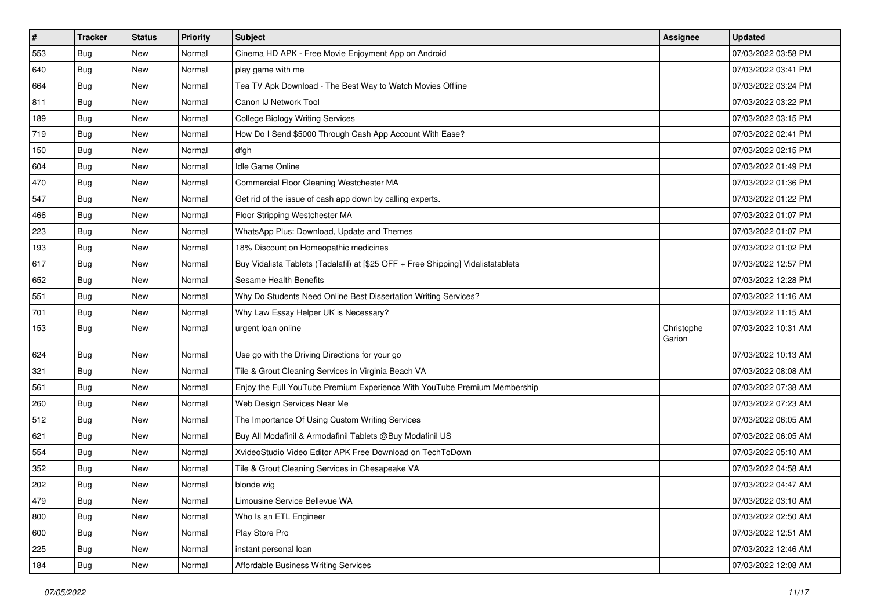| $\vert$ # | Tracker    | <b>Status</b> | Priority | <b>Subject</b>                                                                   | <b>Assignee</b>      | <b>Updated</b>      |
|-----------|------------|---------------|----------|----------------------------------------------------------------------------------|----------------------|---------------------|
| 553       | <b>Bug</b> | New           | Normal   | Cinema HD APK - Free Movie Enjoyment App on Android                              |                      | 07/03/2022 03:58 PM |
| 640       | <b>Bug</b> | New           | Normal   | play game with me                                                                |                      | 07/03/2022 03:41 PM |
| 664       | <b>Bug</b> | New           | Normal   | Tea TV Apk Download - The Best Way to Watch Movies Offline                       |                      | 07/03/2022 03:24 PM |
| 811       | <b>Bug</b> | New           | Normal   | Canon IJ Network Tool                                                            |                      | 07/03/2022 03:22 PM |
| 189       | <b>Bug</b> | New           | Normal   | <b>College Biology Writing Services</b>                                          |                      | 07/03/2022 03:15 PM |
| 719       | <b>Bug</b> | New           | Normal   | How Do I Send \$5000 Through Cash App Account With Ease?                         |                      | 07/03/2022 02:41 PM |
| 150       | <b>Bug</b> | New           | Normal   | dfgh                                                                             |                      | 07/03/2022 02:15 PM |
| 604       | <b>Bug</b> | New           | Normal   | Idle Game Online                                                                 |                      | 07/03/2022 01:49 PM |
| 470       | <b>Bug</b> | New           | Normal   | Commercial Floor Cleaning Westchester MA                                         |                      | 07/03/2022 01:36 PM |
| 547       | Bug        | New           | Normal   | Get rid of the issue of cash app down by calling experts.                        |                      | 07/03/2022 01:22 PM |
| 466       | <b>Bug</b> | New           | Normal   | Floor Stripping Westchester MA                                                   |                      | 07/03/2022 01:07 PM |
| 223       | <b>Bug</b> | New           | Normal   | WhatsApp Plus: Download, Update and Themes                                       |                      | 07/03/2022 01:07 PM |
| 193       | <b>Bug</b> | New           | Normal   | 18% Discount on Homeopathic medicines                                            |                      | 07/03/2022 01:02 PM |
| 617       | <b>Bug</b> | New           | Normal   | Buy Vidalista Tablets (Tadalafil) at [\$25 OFF + Free Shipping] Vidalistatablets |                      | 07/03/2022 12:57 PM |
| 652       | Bug        | New           | Normal   | Sesame Health Benefits                                                           |                      | 07/03/2022 12:28 PM |
| 551       | <b>Bug</b> | New           | Normal   | Why Do Students Need Online Best Dissertation Writing Services?                  |                      | 07/03/2022 11:16 AM |
| 701       | <b>Bug</b> | New           | Normal   | Why Law Essay Helper UK is Necessary?                                            |                      | 07/03/2022 11:15 AM |
| 153       | <b>Bug</b> | New           | Normal   | urgent loan online                                                               | Christophe<br>Garion | 07/03/2022 10:31 AM |
| 624       | <b>Bug</b> | New           | Normal   | Use go with the Driving Directions for your go                                   |                      | 07/03/2022 10:13 AM |
| 321       | <b>Bug</b> | New           | Normal   | Tile & Grout Cleaning Services in Virginia Beach VA                              |                      | 07/03/2022 08:08 AM |
| 561       | <b>Bug</b> | New           | Normal   | Enjoy the Full YouTube Premium Experience With YouTube Premium Membership        |                      | 07/03/2022 07:38 AM |
| 260       | <b>Bug</b> | New           | Normal   | Web Design Services Near Me                                                      |                      | 07/03/2022 07:23 AM |
| 512       | <b>Bug</b> | New           | Normal   | The Importance Of Using Custom Writing Services                                  |                      | 07/03/2022 06:05 AM |
| 621       | Bug        | New           | Normal   | Buy All Modafinil & Armodafinil Tablets @Buy Modafinil US                        |                      | 07/03/2022 06:05 AM |
| 554       | <b>Bug</b> | New           | Normal   | XvideoStudio Video Editor APK Free Download on TechToDown                        |                      | 07/03/2022 05:10 AM |
| 352       | <b>Bug</b> | New           | Normal   | Tile & Grout Cleaning Services in Chesapeake VA                                  |                      | 07/03/2022 04:58 AM |
| 202       | <b>Bug</b> | New           | Normal   | blonde wig                                                                       |                      | 07/03/2022 04:47 AM |
| 479       | <b>Bug</b> | New           | Normal   | Limousine Service Bellevue WA                                                    |                      | 07/03/2022 03:10 AM |
| 800       | Bug        | New           | Normal   | Who Is an ETL Engineer                                                           |                      | 07/03/2022 02:50 AM |
| 600       | Bug        | New           | Normal   | Play Store Pro                                                                   |                      | 07/03/2022 12:51 AM |
| 225       | <b>Bug</b> | New           | Normal   | instant personal loan                                                            |                      | 07/03/2022 12:46 AM |
| 184       | <b>Bug</b> | New           | Normal   | Affordable Business Writing Services                                             |                      | 07/03/2022 12:08 AM |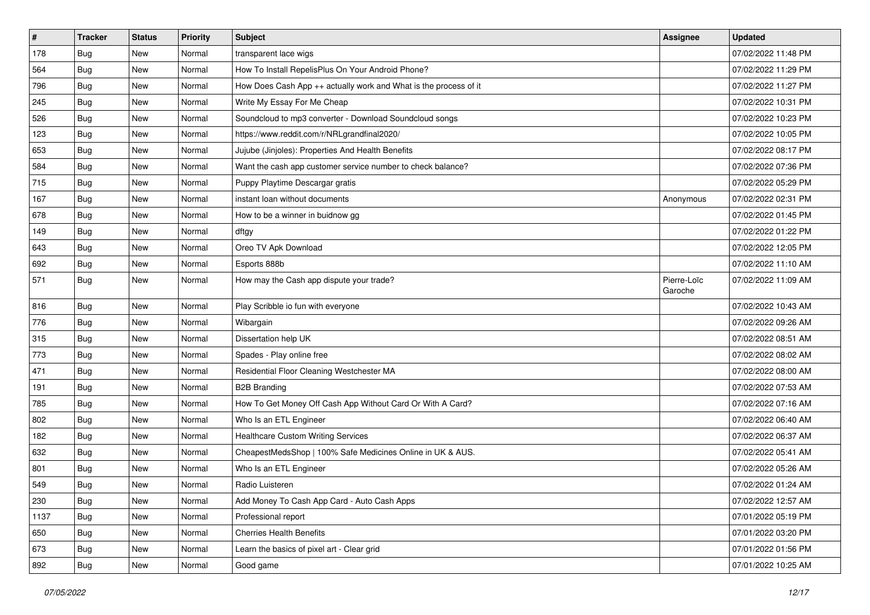| $\vert$ # | <b>Tracker</b> | <b>Status</b> | Priority | <b>Subject</b>                                                   | Assignee               | <b>Updated</b>      |
|-----------|----------------|---------------|----------|------------------------------------------------------------------|------------------------|---------------------|
| 178       | <b>Bug</b>     | New           | Normal   | transparent lace wigs                                            |                        | 07/02/2022 11:48 PM |
| 564       | <b>Bug</b>     | New           | Normal   | How To Install RepelisPlus On Your Android Phone?                |                        | 07/02/2022 11:29 PM |
| 796       | Bug            | New           | Normal   | How Does Cash App ++ actually work and What is the process of it |                        | 07/02/2022 11:27 PM |
| 245       | <b>Bug</b>     | New           | Normal   | Write My Essay For Me Cheap                                      |                        | 07/02/2022 10:31 PM |
| 526       | <b>Bug</b>     | New           | Normal   | Soundcloud to mp3 converter - Download Soundcloud songs          |                        | 07/02/2022 10:23 PM |
| 123       | <b>Bug</b>     | New           | Normal   | https://www.reddit.com/r/NRLgrandfinal2020/                      |                        | 07/02/2022 10:05 PM |
| 653       | Bug            | New           | Normal   | Jujube (Jinjoles): Properties And Health Benefits                |                        | 07/02/2022 08:17 PM |
| 584       | <b>Bug</b>     | New           | Normal   | Want the cash app customer service number to check balance?      |                        | 07/02/2022 07:36 PM |
| 715       | <b>Bug</b>     | New           | Normal   | Puppy Playtime Descargar gratis                                  |                        | 07/02/2022 05:29 PM |
| 167       | Bug            | New           | Normal   | instant loan without documents                                   | Anonymous              | 07/02/2022 02:31 PM |
| 678       | Bug            | New           | Normal   | How to be a winner in buidnow gg                                 |                        | 07/02/2022 01:45 PM |
| 149       | <b>Bug</b>     | New           | Normal   | dftgy                                                            |                        | 07/02/2022 01:22 PM |
| 643       | Bug            | <b>New</b>    | Normal   | Oreo TV Apk Download                                             |                        | 07/02/2022 12:05 PM |
| 692       | <b>Bug</b>     | New           | Normal   | Esports 888b                                                     |                        | 07/02/2022 11:10 AM |
| 571       | Bug            | New           | Normal   | How may the Cash app dispute your trade?                         | Pierre-Loïc<br>Garoche | 07/02/2022 11:09 AM |
| 816       | <b>Bug</b>     | New           | Normal   | Play Scribble io fun with everyone                               |                        | 07/02/2022 10:43 AM |
| 776       | Bug            | New           | Normal   | Wibargain                                                        |                        | 07/02/2022 09:26 AM |
| 315       | Bug            | New           | Normal   | Dissertation help UK                                             |                        | 07/02/2022 08:51 AM |
| 773       | Bug            | New           | Normal   | Spades - Play online free                                        |                        | 07/02/2022 08:02 AM |
| 471       | <b>Bug</b>     | <b>New</b>    | Normal   | Residential Floor Cleaning Westchester MA                        |                        | 07/02/2022 08:00 AM |
| 191       | <b>Bug</b>     | New           | Normal   | <b>B2B Branding</b>                                              |                        | 07/02/2022 07:53 AM |
| 785       | <b>Bug</b>     | New           | Normal   | How To Get Money Off Cash App Without Card Or With A Card?       |                        | 07/02/2022 07:16 AM |
| 802       | Bug            | New           | Normal   | Who Is an ETL Engineer                                           |                        | 07/02/2022 06:40 AM |
| 182       | <b>Bug</b>     | New           | Normal   | <b>Healthcare Custom Writing Services</b>                        |                        | 07/02/2022 06:37 AM |
| 632       | <b>Bug</b>     | New           | Normal   | CheapestMedsShop   100% Safe Medicines Online in UK & AUS.       |                        | 07/02/2022 05:41 AM |
| 801       | <b>Bug</b>     | New           | Normal   | Who Is an ETL Engineer                                           |                        | 07/02/2022 05:26 AM |
| 549       | <b>Bug</b>     | New           | Normal   | Radio Luisteren                                                  |                        | 07/02/2022 01:24 AM |
| 230       | <b>Bug</b>     | New           | Normal   | Add Money To Cash App Card - Auto Cash Apps                      |                        | 07/02/2022 12:57 AM |
| 1137      | Bug            | New           | Normal   | Professional report                                              |                        | 07/01/2022 05:19 PM |
| 650       | Bug            | New           | Normal   | <b>Cherries Health Benefits</b>                                  |                        | 07/01/2022 03:20 PM |
| 673       | <b>Bug</b>     | New           | Normal   | Learn the basics of pixel art - Clear grid                       |                        | 07/01/2022 01:56 PM |
| 892       | <b>Bug</b>     | New           | Normal   | Good game                                                        |                        | 07/01/2022 10:25 AM |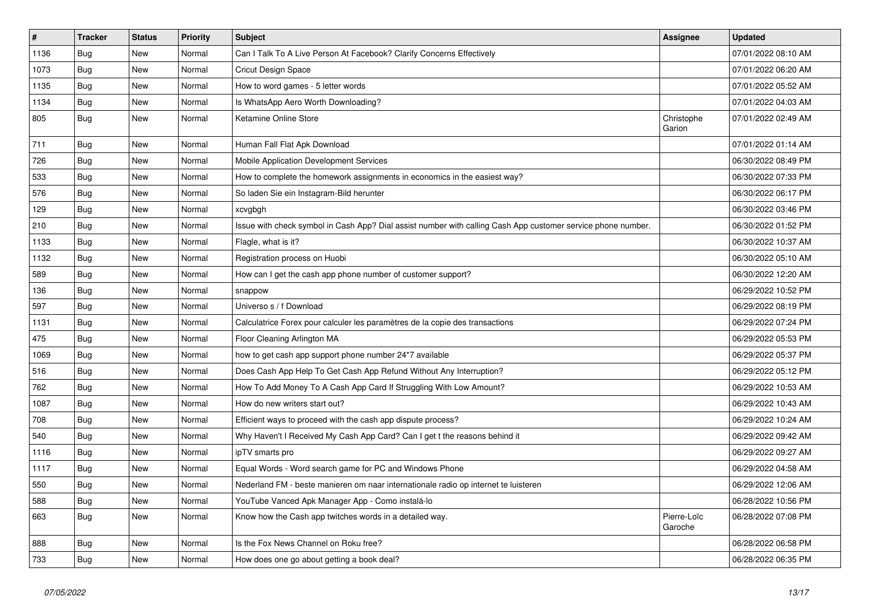| $\vert$ # | <b>Tracker</b> | <b>Status</b> | <b>Priority</b> | <b>Subject</b>                                                                                               | <b>Assignee</b>        | <b>Updated</b>      |
|-----------|----------------|---------------|-----------------|--------------------------------------------------------------------------------------------------------------|------------------------|---------------------|
| 1136      | Bug            | <b>New</b>    | Normal          | Can I Talk To A Live Person At Facebook? Clarify Concerns Effectively                                        |                        | 07/01/2022 08:10 AM |
| 1073      | Bug            | <b>New</b>    | Normal          | Cricut Design Space                                                                                          |                        | 07/01/2022 06:20 AM |
| 1135      | Bug            | New           | Normal          | How to word games - 5 letter words                                                                           |                        | 07/01/2022 05:52 AM |
| 1134      | Bug            | New           | Normal          | Is WhatsApp Aero Worth Downloading?                                                                          |                        | 07/01/2022 04:03 AM |
| 805       | Bug            | <b>New</b>    | Normal          | Ketamine Online Store                                                                                        | Christophe<br>Garion   | 07/01/2022 02:49 AM |
| 711       | Bug            | New           | Normal          | Human Fall Flat Apk Download                                                                                 |                        | 07/01/2022 01:14 AM |
| 726       | Bug            | <b>New</b>    | Normal          | Mobile Application Development Services                                                                      |                        | 06/30/2022 08:49 PM |
| 533       | Bug            | New           | Normal          | How to complete the homework assignments in economics in the easiest way?                                    |                        | 06/30/2022 07:33 PM |
| 576       | Bug            | <b>New</b>    | Normal          | So laden Sie ein Instagram-Bild herunter                                                                     |                        | 06/30/2022 06:17 PM |
| 129       | Bug            | <b>New</b>    | Normal          | xcvgbgh                                                                                                      |                        | 06/30/2022 03:46 PM |
| 210       | Bug            | <b>New</b>    | Normal          | Issue with check symbol in Cash App? Dial assist number with calling Cash App customer service phone number. |                        | 06/30/2022 01:52 PM |
| 1133      | <b>Bug</b>     | <b>New</b>    | Normal          | Flagle, what is it?                                                                                          |                        | 06/30/2022 10:37 AM |
| 1132      | Bug            | <b>New</b>    | Normal          | Registration process on Huobi                                                                                |                        | 06/30/2022 05:10 AM |
| 589       | Bug            | New           | Normal          | How can I get the cash app phone number of customer support?                                                 |                        | 06/30/2022 12:20 AM |
| 136       | Bug            | New           | Normal          | snappow                                                                                                      |                        | 06/29/2022 10:52 PM |
| 597       | Bug            | <b>New</b>    | Normal          | Universo s / f Download                                                                                      |                        | 06/29/2022 08:19 PM |
| 1131      | Bug            | New           | Normal          | Calculatrice Forex pour calculer les paramètres de la copie des transactions                                 |                        | 06/29/2022 07:24 PM |
| 475       | Bug            | New           | Normal          | Floor Cleaning Arlington MA                                                                                  |                        | 06/29/2022 05:53 PM |
| 1069      | Bug            | <b>New</b>    | Normal          | how to get cash app support phone number 24*7 available                                                      |                        | 06/29/2022 05:37 PM |
| 516       | <b>Bug</b>     | New           | Normal          | Does Cash App Help To Get Cash App Refund Without Any Interruption?                                          |                        | 06/29/2022 05:12 PM |
| 762       | Bug            | New           | Normal          | How To Add Money To A Cash App Card If Struggling With Low Amount?                                           |                        | 06/29/2022 10:53 AM |
| 1087      | Bug            | New           | Normal          | How do new writers start out?                                                                                |                        | 06/29/2022 10:43 AM |
| 708       | Bug            | New           | Normal          | Efficient ways to proceed with the cash app dispute process?                                                 |                        | 06/29/2022 10:24 AM |
| 540       | <b>Bug</b>     | New           | Normal          | Why Haven't I Received My Cash App Card? Can I get t the reasons behind it                                   |                        | 06/29/2022 09:42 AM |
| 1116      | Bug            | New           | Normal          | ipTV smarts pro                                                                                              |                        | 06/29/2022 09:27 AM |
| 1117      | Bug            | <b>New</b>    | Normal          | Equal Words - Word search game for PC and Windows Phone                                                      |                        | 06/29/2022 04:58 AM |
| 550       | Bug            | New           | Normal          | Nederland FM - beste manieren om naar internationale radio op internet te luisteren                          |                        | 06/29/2022 12:06 AM |
| 588       | Bug            | <b>New</b>    | Normal          | YouTube Vanced Apk Manager App - Como instalá-lo                                                             |                        | 06/28/2022 10:56 PM |
| 663       | <b>Bug</b>     | <b>New</b>    | Normal          | Know how the Cash app twitches words in a detailed way.                                                      | Pierre-Loïc<br>Garoche | 06/28/2022 07:08 PM |
| 888       | <b>Bug</b>     | <b>New</b>    | Normal          | Is the Fox News Channel on Roku free?                                                                        |                        | 06/28/2022 06:58 PM |
| 733       | <b>Bug</b>     | New           | Normal          | How does one go about getting a book deal?                                                                   |                        | 06/28/2022 06:35 PM |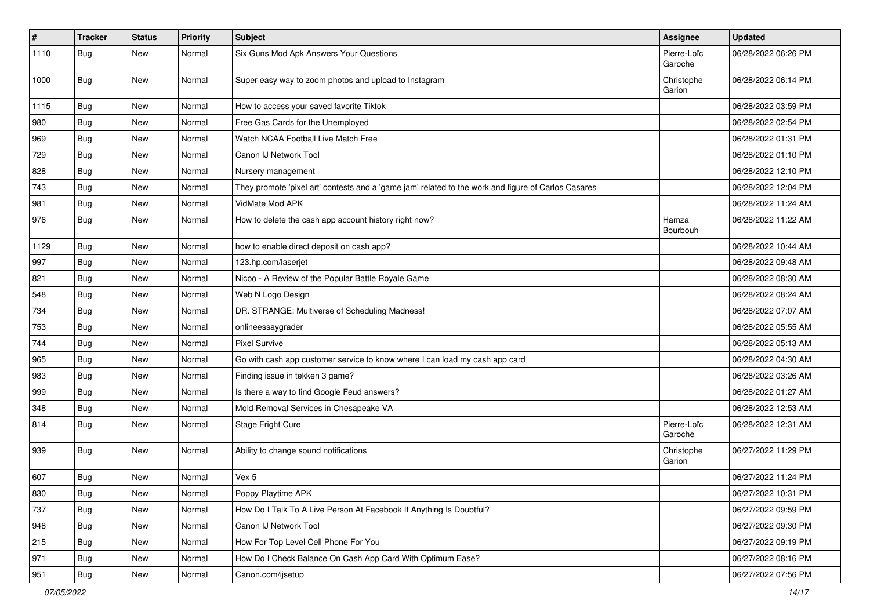| $\vert$ # | <b>Tracker</b> | <b>Status</b> | Priority | <b>Subject</b>                                                                                      | <b>Assignee</b>        | <b>Updated</b>      |
|-----------|----------------|---------------|----------|-----------------------------------------------------------------------------------------------------|------------------------|---------------------|
| 1110      | Bug            | New           | Normal   | Six Guns Mod Apk Answers Your Questions                                                             | Pierre-Loïc<br>Garoche | 06/28/2022 06:26 PM |
| 1000      | Bug            | New           | Normal   | Super easy way to zoom photos and upload to Instagram                                               | Christophe<br>Garion   | 06/28/2022 06:14 PM |
| 1115      | <b>Bug</b>     | <b>New</b>    | Normal   | How to access your saved favorite Tiktok                                                            |                        | 06/28/2022 03:59 PM |
| 980       | <b>Bug</b>     | New           | Normal   | Free Gas Cards for the Unemployed                                                                   |                        | 06/28/2022 02:54 PM |
| 969       | <b>Bug</b>     | New           | Normal   | Watch NCAA Football Live Match Free                                                                 |                        | 06/28/2022 01:31 PM |
| 729       | <b>Bug</b>     | New           | Normal   | Canon IJ Network Tool                                                                               |                        | 06/28/2022 01:10 PM |
| 828       | <b>Bug</b>     | New           | Normal   | Nursery management                                                                                  |                        | 06/28/2022 12:10 PM |
| 743       | Bug            | New           | Normal   | They promote 'pixel art' contests and a 'game jam' related to the work and figure of Carlos Casares |                        | 06/28/2022 12:04 PM |
| 981       | Bug            | New           | Normal   | VidMate Mod APK                                                                                     |                        | 06/28/2022 11:24 AM |
| 976       | <b>Bug</b>     | New           | Normal   | How to delete the cash app account history right now?                                               | Hamza<br>Bourbouh      | 06/28/2022 11:22 AM |
| 1129      | <b>Bug</b>     | New           | Normal   | how to enable direct deposit on cash app?                                                           |                        | 06/28/2022 10:44 AM |
| 997       | Bug            | New           | Normal   | 123.hp.com/laserjet                                                                                 |                        | 06/28/2022 09:48 AM |
| 821       | Bug            | New           | Normal   | Nicoo - A Review of the Popular Battle Royale Game                                                  |                        | 06/28/2022 08:30 AM |
| 548       | <b>Bug</b>     | New           | Normal   | Web N Logo Design                                                                                   |                        | 06/28/2022 08:24 AM |
| 734       | Bug            | <b>New</b>    | Normal   | DR. STRANGE: Multiverse of Scheduling Madness!                                                      |                        | 06/28/2022 07:07 AM |
| 753       | Bug            | New           | Normal   | onlineessaygrader                                                                                   |                        | 06/28/2022 05:55 AM |
| 744       | <b>Bug</b>     | New           | Normal   | <b>Pixel Survive</b>                                                                                |                        | 06/28/2022 05:13 AM |
| 965       | Bug            | New           | Normal   | Go with cash app customer service to know where I can load my cash app card                         |                        | 06/28/2022 04:30 AM |
| 983       | <b>Bug</b>     | New           | Normal   | Finding issue in tekken 3 game?                                                                     |                        | 06/28/2022 03:26 AM |
| 999       | Bug            | New           | Normal   | Is there a way to find Google Feud answers?                                                         |                        | 06/28/2022 01:27 AM |
| 348       | Bug            | New           | Normal   | Mold Removal Services in Chesapeake VA                                                              |                        | 06/28/2022 12:53 AM |
| 814       | Bug            | New           | Normal   | Stage Fright Cure                                                                                   | Pierre-Loïc<br>Garoche | 06/28/2022 12:31 AM |
| 939       | Bug            | New           | Normal   | Ability to change sound notifications                                                               | Christophe<br>Garion   | 06/27/2022 11:29 PM |
| 607       | <b>Bug</b>     | New           | Normal   | Vex 5                                                                                               |                        | 06/27/2022 11:24 PM |
| 830       | <b>Bug</b>     | New           | Normal   | Poppy Playtime APK                                                                                  |                        | 06/27/2022 10:31 PM |
| 737       | <b>Bug</b>     | <b>New</b>    | Normal   | How Do I Talk To A Live Person At Facebook If Anything Is Doubtful?                                 |                        | 06/27/2022 09:59 PM |
| 948       | <b>Bug</b>     | New           | Normal   | Canon IJ Network Tool                                                                               |                        | 06/27/2022 09:30 PM |
| 215       | Bug            | New           | Normal   | How For Top Level Cell Phone For You                                                                |                        | 06/27/2022 09:19 PM |
| 971       | <b>Bug</b>     | New           | Normal   | How Do I Check Balance On Cash App Card With Optimum Ease?                                          |                        | 06/27/2022 08:16 PM |
| 951       | Bug            | New           | Normal   | Canon.com/ijsetup                                                                                   |                        | 06/27/2022 07:56 PM |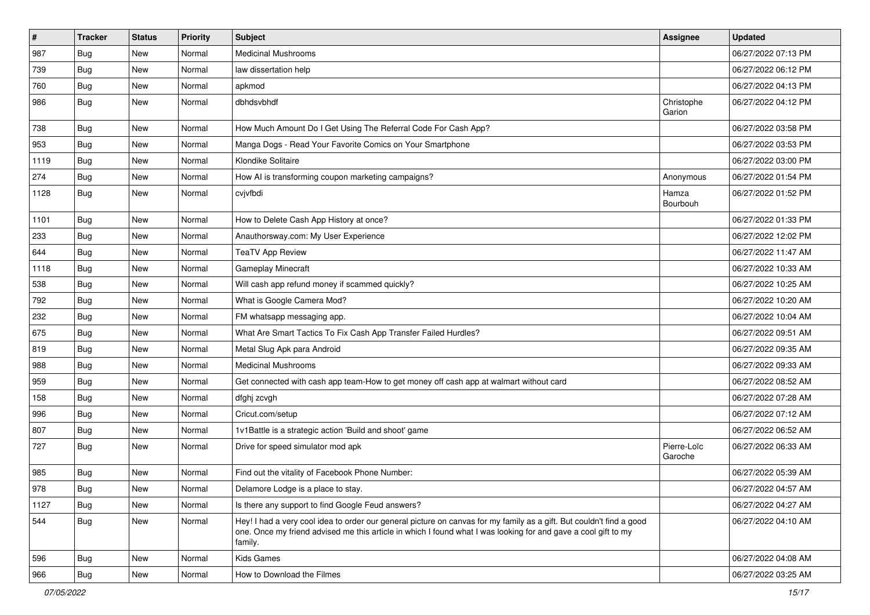| $\sharp$ | <b>Tracker</b> | <b>Status</b> | <b>Priority</b> | <b>Subject</b>                                                                                                                                                                                                                                    | <b>Assignee</b>        | <b>Updated</b>      |
|----------|----------------|---------------|-----------------|---------------------------------------------------------------------------------------------------------------------------------------------------------------------------------------------------------------------------------------------------|------------------------|---------------------|
| 987      | <b>Bug</b>     | New           | Normal          | <b>Medicinal Mushrooms</b>                                                                                                                                                                                                                        |                        | 06/27/2022 07:13 PM |
| 739      | <b>Bug</b>     | New           | Normal          | law dissertation help                                                                                                                                                                                                                             |                        | 06/27/2022 06:12 PM |
| 760      | Bug            | New           | Normal          | apkmod                                                                                                                                                                                                                                            |                        | 06/27/2022 04:13 PM |
| 986      | <b>Bug</b>     | New           | Normal          | dbhdsvbhdf                                                                                                                                                                                                                                        | Christophe<br>Garion   | 06/27/2022 04:12 PM |
| 738      | <b>Bug</b>     | New           | Normal          | How Much Amount Do I Get Using The Referral Code For Cash App?                                                                                                                                                                                    |                        | 06/27/2022 03:58 PM |
| 953      | Bug            | New           | Normal          | Manga Dogs - Read Your Favorite Comics on Your Smartphone                                                                                                                                                                                         |                        | 06/27/2022 03:53 PM |
| 1119     | <b>Bug</b>     | New           | Normal          | Klondike Solitaire                                                                                                                                                                                                                                |                        | 06/27/2022 03:00 PM |
| 274      | <b>Bug</b>     | New           | Normal          | How AI is transforming coupon marketing campaigns?                                                                                                                                                                                                | Anonymous              | 06/27/2022 01:54 PM |
| 1128     | <b>Bug</b>     | New           | Normal          | cvjvfbdi                                                                                                                                                                                                                                          | Hamza<br>Bourbouh      | 06/27/2022 01:52 PM |
| 1101     | <b>Bug</b>     | New           | Normal          | How to Delete Cash App History at once?                                                                                                                                                                                                           |                        | 06/27/2022 01:33 PM |
| 233      | Bug            | New           | Normal          | Anauthorsway.com: My User Experience                                                                                                                                                                                                              |                        | 06/27/2022 12:02 PM |
| 644      | <b>Bug</b>     | New           | Normal          | <b>TeaTV App Review</b>                                                                                                                                                                                                                           |                        | 06/27/2022 11:47 AM |
| 1118     | Bug            | New           | Normal          | Gameplay Minecraft                                                                                                                                                                                                                                |                        | 06/27/2022 10:33 AM |
| 538      | Bug            | New           | Normal          | Will cash app refund money if scammed quickly?                                                                                                                                                                                                    |                        | 06/27/2022 10:25 AM |
| 792      | <b>Bug</b>     | New           | Normal          | What is Google Camera Mod?                                                                                                                                                                                                                        |                        | 06/27/2022 10:20 AM |
| 232      | <b>Bug</b>     | New           | Normal          | FM whatsapp messaging app.                                                                                                                                                                                                                        |                        | 06/27/2022 10:04 AM |
| 675      | <b>Bug</b>     | New           | Normal          | What Are Smart Tactics To Fix Cash App Transfer Failed Hurdles?                                                                                                                                                                                   |                        | 06/27/2022 09:51 AM |
| 819      | <b>Bug</b>     | New           | Normal          | Metal Slug Apk para Android                                                                                                                                                                                                                       |                        | 06/27/2022 09:35 AM |
| 988      | <b>Bug</b>     | New           | Normal          | <b>Medicinal Mushrooms</b>                                                                                                                                                                                                                        |                        | 06/27/2022 09:33 AM |
| 959      | Bug            | New           | Normal          | Get connected with cash app team-How to get money off cash app at walmart without card                                                                                                                                                            |                        | 06/27/2022 08:52 AM |
| 158      | <b>Bug</b>     | New           | Normal          | dfghj zcvgh                                                                                                                                                                                                                                       |                        | 06/27/2022 07:28 AM |
| 996      | <b>Bug</b>     | New           | Normal          | Cricut.com/setup                                                                                                                                                                                                                                  |                        | 06/27/2022 07:12 AM |
| 807      | <b>Bug</b>     | New           | Normal          | 1v1Battle is a strategic action 'Build and shoot' game                                                                                                                                                                                            |                        | 06/27/2022 06:52 AM |
| 727      | Bug            | New           | Normal          | Drive for speed simulator mod apk                                                                                                                                                                                                                 | Pierre-Loïc<br>Garoche | 06/27/2022 06:33 AM |
| 985      | <b>Bug</b>     | New           | Normal          | Find out the vitality of Facebook Phone Number:                                                                                                                                                                                                   |                        | 06/27/2022 05:39 AM |
| 978      | <b>Bug</b>     | New           | Normal          | Delamore Lodge is a place to stay.                                                                                                                                                                                                                |                        | 06/27/2022 04:57 AM |
| 1127     | <b>Bug</b>     | New           | Normal          | Is there any support to find Google Feud answers?                                                                                                                                                                                                 |                        | 06/27/2022 04:27 AM |
| 544      | <b>Bug</b>     | New           | Normal          | Hey! I had a very cool idea to order our general picture on canvas for my family as a gift. But couldn't find a good<br>one. Once my friend advised me this article in which I found what I was looking for and gave a cool gift to my<br>family. |                        | 06/27/2022 04:10 AM |
| 596      | <b>Bug</b>     | New           | Normal          | Kids Games                                                                                                                                                                                                                                        |                        | 06/27/2022 04:08 AM |
| 966      | Bug            | New           | Normal          | How to Download the Filmes                                                                                                                                                                                                                        |                        | 06/27/2022 03:25 AM |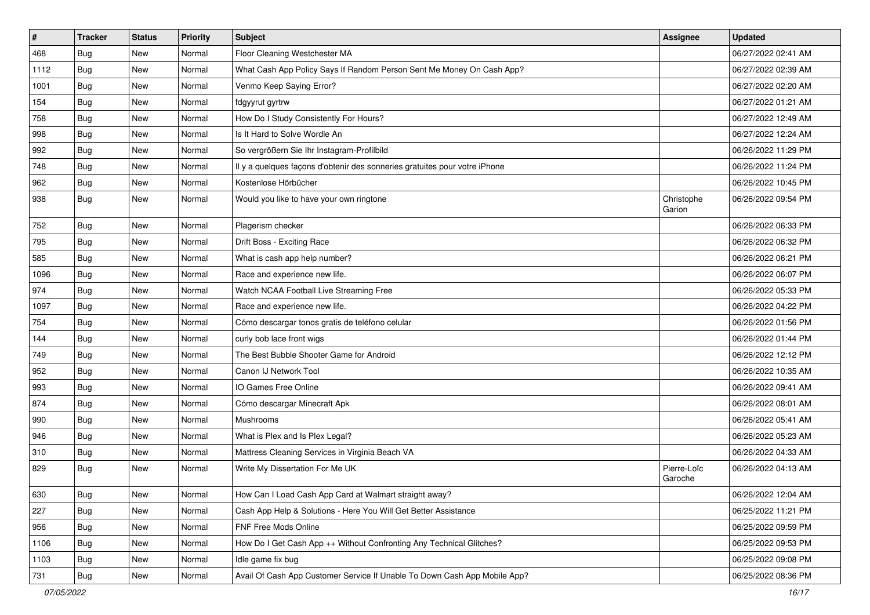| #    | <b>Tracker</b> | <b>Status</b> | <b>Priority</b> | <b>Subject</b>                                                             | Assignee               | <b>Updated</b>      |
|------|----------------|---------------|-----------------|----------------------------------------------------------------------------|------------------------|---------------------|
| 468  | Bug            | New           | Normal          | Floor Cleaning Westchester MA                                              |                        | 06/27/2022 02:41 AM |
| 1112 | Bug            | New           | Normal          | What Cash App Policy Says If Random Person Sent Me Money On Cash App?      |                        | 06/27/2022 02:39 AM |
| 1001 | <b>Bug</b>     | New           | Normal          | Venmo Keep Saying Error?                                                   |                        | 06/27/2022 02:20 AM |
| 154  | <b>Bug</b>     | New           | Normal          | fdgyyrut gyrtrw                                                            |                        | 06/27/2022 01:21 AM |
| 758  | <b>Bug</b>     | New           | Normal          | How Do I Study Consistently For Hours?                                     |                        | 06/27/2022 12:49 AM |
| 998  | Bug            | New           | Normal          | Is It Hard to Solve Wordle An                                              |                        | 06/27/2022 12:24 AM |
| 992  | <b>Bug</b>     | New           | Normal          | So vergrößern Sie Ihr Instagram-Profilbild                                 |                        | 06/26/2022 11:29 PM |
| 748  | <b>Bug</b>     | New           | Normal          | Il y a quelques façons d'obtenir des sonneries gratuites pour votre iPhone |                        | 06/26/2022 11:24 PM |
| 962  | Bug            | New           | Normal          | Kostenlose Hörbücher                                                       |                        | 06/26/2022 10:45 PM |
| 938  | Bug            | New           | Normal          | Would you like to have your own ringtone                                   | Christophe<br>Garion   | 06/26/2022 09:54 PM |
| 752  | <b>Bug</b>     | New           | Normal          | Plagerism checker                                                          |                        | 06/26/2022 06:33 PM |
| 795  | Bug            | New           | Normal          | Drift Boss - Exciting Race                                                 |                        | 06/26/2022 06:32 PM |
| 585  | Bug            | New           | Normal          | What is cash app help number?                                              |                        | 06/26/2022 06:21 PM |
| 1096 | Bug            | New           | Normal          | Race and experience new life.                                              |                        | 06/26/2022 06:07 PM |
| 974  | <b>Bug</b>     | <b>New</b>    | Normal          | Watch NCAA Football Live Streaming Free                                    |                        | 06/26/2022 05:33 PM |
| 1097 | <b>Bug</b>     | New           | Normal          | Race and experience new life.                                              |                        | 06/26/2022 04:22 PM |
| 754  | Bug            | New           | Normal          | Cómo descargar tonos gratis de teléfono celular                            |                        | 06/26/2022 01:56 PM |
| 144  | Bug            | New           | Normal          | curly bob lace front wigs                                                  |                        | 06/26/2022 01:44 PM |
| 749  | <b>Bug</b>     | New           | Normal          | The Best Bubble Shooter Game for Android                                   |                        | 06/26/2022 12:12 PM |
| 952  | <b>Bug</b>     | New           | Normal          | Canon IJ Network Tool                                                      |                        | 06/26/2022 10:35 AM |
| 993  | <b>Bug</b>     | New           | Normal          | IO Games Free Online                                                       |                        | 06/26/2022 09:41 AM |
| 874  | Bug            | New           | Normal          | Cómo descargar Minecraft Apk                                               |                        | 06/26/2022 08:01 AM |
| 990  | Bug            | New           | Normal          | Mushrooms                                                                  |                        | 06/26/2022 05:41 AM |
| 946  | <b>Bug</b>     | New           | Normal          | What is Plex and Is Plex Legal?                                            |                        | 06/26/2022 05:23 AM |
| 310  | <b>Bug</b>     | New           | Normal          | Mattress Cleaning Services in Virginia Beach VA                            |                        | 06/26/2022 04:33 AM |
| 829  | Bug            | New           | Normal          | Write My Dissertation For Me UK                                            | Pierre-Loïc<br>Garoche | 06/26/2022 04:13 AM |
| 630  | Bug            | New           | Normal          | How Can I Load Cash App Card at Walmart straight away?                     |                        | 06/26/2022 12:04 AM |
| 227  | <b>Bug</b>     | New           | Normal          | Cash App Help & Solutions - Here You Will Get Better Assistance            |                        | 06/25/2022 11:21 PM |
| 956  | <b>Bug</b>     | New           | Normal          | FNF Free Mods Online                                                       |                        | 06/25/2022 09:59 PM |
| 1106 | Bug            | New           | Normal          | How Do I Get Cash App ++ Without Confronting Any Technical Glitches?       |                        | 06/25/2022 09:53 PM |
| 1103 | <b>Bug</b>     | New           | Normal          | Idle game fix bug                                                          |                        | 06/25/2022 09:08 PM |
| 731  | <b>Bug</b>     | New           | Normal          | Avail Of Cash App Customer Service If Unable To Down Cash App Mobile App?  |                        | 06/25/2022 08:36 PM |